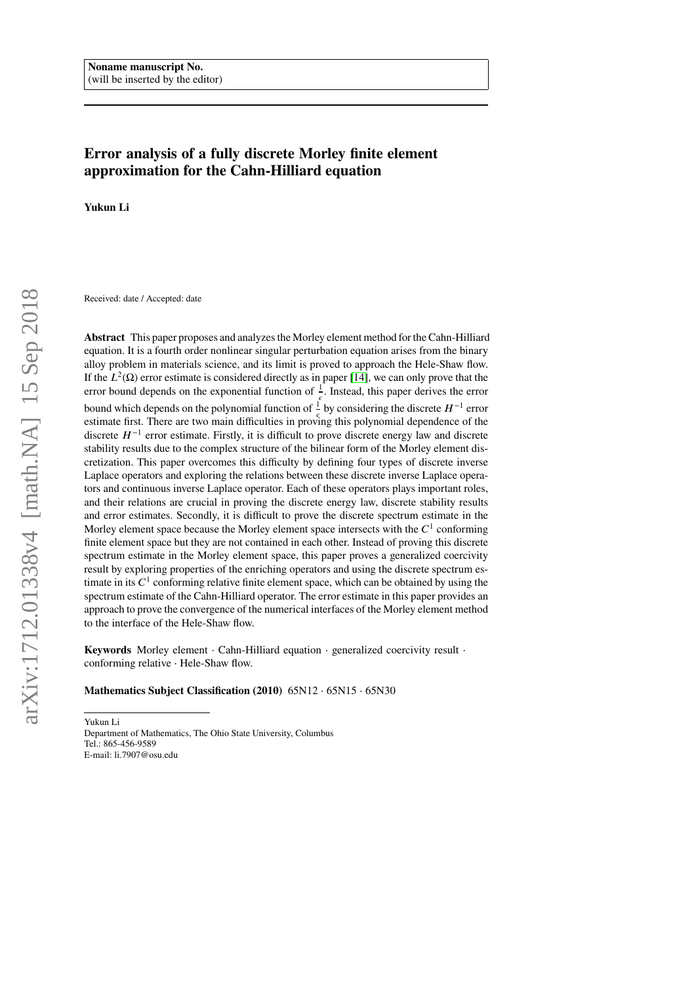# **Error analysis of a fully discrete Morley finite element approximation for the Cahn-Hilliard equation**

**Yukun Li**

Received: date / Accepted: date

**Abstract** This paper proposes and analyzes the Morley element method for the Cahn-Hilliard equation. It is a fourth order nonlinear singular perturbation equation arises from the binary alloy problem in materials science, and its limit is proved to approach the Hele-Shaw flow. If the  $L^2(\Omega)$  error estimate is considered directly as in paper [\[14\]](#page-29-0), we can only prove that the error bound depends on the exponential function of  $\frac{1}{a}$ . Instead, this paper derives the error bound which depends on the polynomial function of  $\frac{1}{\epsilon}$  by considering the discrete *H*<sup>−1</sup> error estimate first. There are two main difficulties in proving this polynomial dependence of the discrete  $H^{-1}$  error estimate. Firstly, it is difficult to prove discrete energy law and discrete stability results due to the complex structure of the bilinear form of the Morley element discretization. This paper overcomes this difficulty by defining four types of discrete inverse Laplace operators and exploring the relations between these discrete inverse Laplace operators and continuous inverse Laplace operator. Each of these operators plays important roles, and their relations are crucial in proving the discrete energy law, discrete stability results and error estimates. Secondly, it is difficult to prove the discrete spectrum estimate in the Morley element space because the Morley element space intersects with the  $C<sup>1</sup>$  conforming finite element space but they are not contained in each other. Instead of proving this discrete spectrum estimate in the Morley element space, this paper proves a generalized coercivity result by exploring properties of the enriching operators and using the discrete spectrum estimate in its  $C<sup>1</sup>$  conforming relative finite element space, which can be obtained by using the spectrum estimate of the Cahn-Hilliard operator. The error estimate in this paper provides an approach to prove the convergence of the numerical interfaces of the Morley element method to the interface of the Hele-Shaw flow.

**Keywords** Morley element ⋅ Cahn-Hilliard equation ⋅ generalized coercivity result ⋅ conforming relative ⋅ Hele-Shaw flow.

## **Mathematics Subject Classification (2010)** 65N12 ⋅ 65N15 ⋅ 65N30

Yukun Li Department of Mathematics, The Ohio State University, Columbus Tel.: 865-456-9589 E-mail: li.7907@osu.edu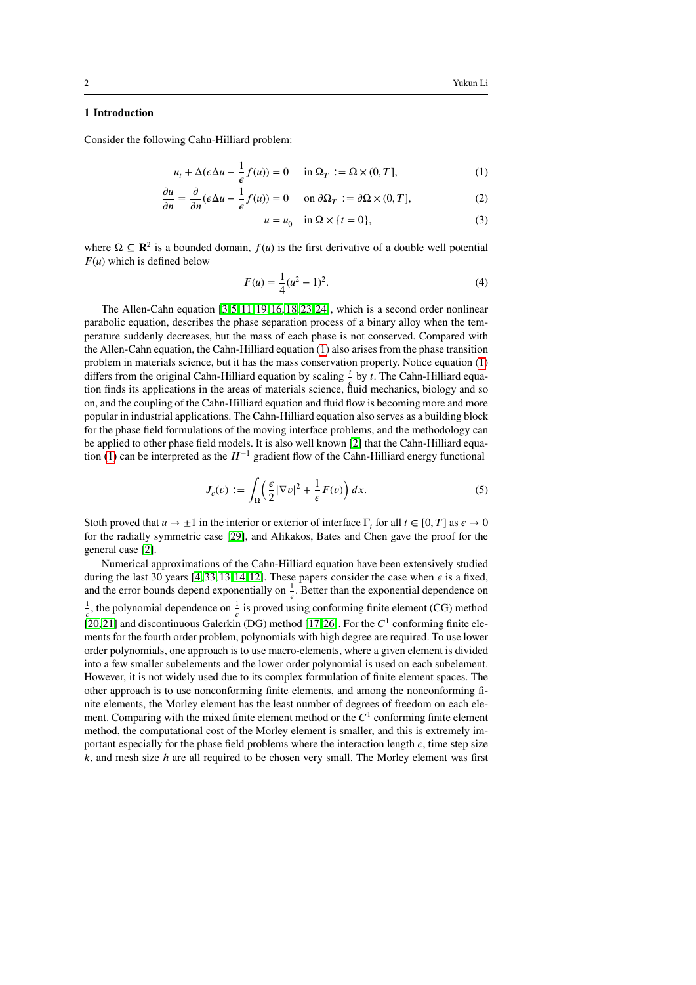# **1 Introduction**

Consider the following Cahn-Hilliard problem:

$$
u_t + \Delta(\epsilon \Delta u - \frac{1}{\epsilon} f(u)) = 0 \quad \text{in } \Omega_T := \Omega \times (0, T], \tag{1}
$$

$$
\frac{\partial u}{\partial n} = \frac{\partial}{\partial n} (\epsilon \Delta u - \frac{1}{\epsilon} f(u)) = 0 \quad \text{on } \partial \Omega_T := \partial \Omega \times (0, T], \tag{2}
$$

<span id="page-1-2"></span><span id="page-1-0"></span>
$$
u = u_0 \quad \text{in } \Omega \times \{t = 0\},\tag{3}
$$

where  $\Omega \subseteq \mathbb{R}^2$  is a bounded domain,  $f(u)$  is the first derivative of a double well potential  $F(u)$  which is defined below

<span id="page-1-1"></span>
$$
F(u) = \frac{1}{4}(u^2 - 1)^2.
$$
 (4)

The Allen-Cahn equation  $[3, 5, 11, 19, 16, 18, 23, 24]$  $[3, 5, 11, 19, 16, 18, 23, 24]$  $[3, 5, 11, 19, 16, 18, 23, 24]$  $[3, 5, 11, 19, 16, 18, 23, 24]$  $[3, 5, 11, 19, 16, 18, 23, 24]$  $[3, 5, 11, 19, 16, 18, 23, 24]$  $[3, 5, 11, 19, 16, 18, 23, 24]$  $[3, 5, 11, 19, 16, 18, 23, 24]$ , which is a second order nonlinear parabolic equation, describes the phase separation process of a binary alloy when the temperature suddenly decreases, but the mass of each phase is not conserved. Compared with the Allen-Cahn equation, the Cahn-Hilliard equation [\(1\)](#page-1-0) also arises from the phase transition problem in materials science, but it has the mass conservation property. Notice equation [\(1\)](#page-1-0) differs from the original Cahn-Hilliard equation by scaling  $\frac{t}{b}$  by *t*. The Cahn-Hilliard equaances from the engines cann rimals equation by seeiing by it rife cann rimals equal tion finds its applications in the areas of materials science, fluid mechanics, biology and so on, and the coupling of the Cahn-Hilliard equation and fluid flow is becoming more and more popular in industrial applications. The Cahn-Hilliard equation also serves as a building block for the phase field formulations of the moving interface problems, and the methodology can be applied to other phase field models. It is also well known [\[2\]](#page-29-7) that the Cahn-Hilliard equa-tion [\(1\)](#page-1-0) can be interpreted as the  $H^{-1}$  gradient flow of the Cahn-Hilliard energy functional

$$
J_{\epsilon}(v) := \int_{\Omega} \left( \frac{\epsilon}{2} |\nabla v|^2 + \frac{1}{\epsilon} F(v) \right) dx.
$$
 (5)

Stoth proved that  $u \to \pm 1$  in the interior or exterior of interface  $\Gamma_t$  for all  $t \in [0, T]$  as  $\epsilon \to 0$ for the radially symmetric case [\[29\]](#page-30-2), and Alikakos, Bates and Chen gave the proof for the general case [\[2\]](#page-29-7).

Numerical approximations of the Cahn-Hilliard equation have been extensively studied during the last 30 years  $[4, 33, 13, 14, 12]$  $[4, 33, 13, 14, 12]$  $[4, 33, 13, 14, 12]$  $[4, 33, 13, 14, 12]$  $[4, 33, 13, 14, 12]$ . These papers consider the case when  $\epsilon$  is a fixed, and the error bounds depend exponentially on  $\frac{1}{\epsilon}$ . Better than the exponential dependence on 1  $\frac{1}{\epsilon}$ , the polynomial dependence on  $\frac{1}{\epsilon}$  is proved using conforming finite element (CG) method [\[20,](#page-29-11) [21\]](#page-30-4) and discontinuous Galerkin (DG) method [\[17,](#page-29-12) [26\]](#page-30-5). For the  $C<sup>1</sup>$  conforming finite elements for the fourth order problem, polynomials with high degree are required. To use lower order polynomials, one approach is to use macro-elements, where a given element is divided into a few smaller subelements and the lower order polynomial is used on each subelement. However, it is not widely used due to its complex formulation of finite element spaces. The other approach is to use nonconforming finite elements, and among the nonconforming finite elements, the Morley element has the least number of degrees of freedom on each element. Comparing with the mixed finite element method or the  $C<sup>1</sup>$  conforming finite element method, the computational cost of the Morley element is smaller, and this is extremely important especially for the phase field problems where the interaction length  $\epsilon$ , time step size *𝑘*, and mesh size *ℎ* are all required to be chosen very small. The Morley element was first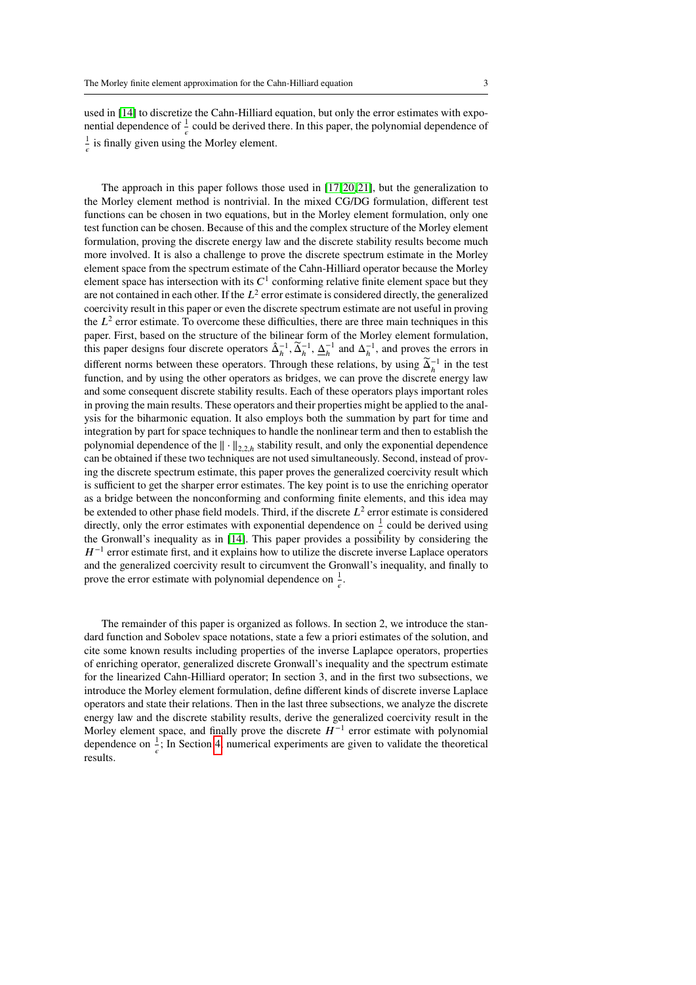used in [\[14\]](#page-29-0) to discretize the Cahn-Hilliard equation, but only the error estimates with exponential dependence of  $\frac{1}{\epsilon}$  could be derived there. In this paper, the polynomial dependence of 1  $\frac{1}{\epsilon}$  is finally given using the Morley element.

The approach in this paper follows those used in [\[17,](#page-29-12) [20,](#page-29-11) [21\]](#page-30-4), but the generalization to the Morley element method is nontrivial. In the mixed CG/DG formulation, different test functions can be chosen in two equations, but in the Morley element formulation, only one test function can be chosen. Because of this and the complex structure of the Morley element formulation, proving the discrete energy law and the discrete stability results become much more involved. It is also a challenge to prove the discrete spectrum estimate in the Morley element space from the spectrum estimate of the Cahn-Hilliard operator because the Morley element space has intersection with its  $C<sup>1</sup>$  conforming relative finite element space but they are not contained in each other. If the  $L^2$  error estimate is considered directly, the generalized coercivity result in this paper or even the discrete spectrum estimate are not useful in proving the  $L^2$  error estimate. To overcome these difficulties, there are three main techniques in this paper. First, based on the structure of the bilinear form of the Morley element formulation, this paper designs four discrete operators  $\hat{\Delta}_h^{-1}$ ,  $\tilde{\Delta}_h^{-1}$ ,  $\Delta_h^{-1}$  and  $\Delta_h^{-1}$ , and proves the errors in different norms between these operators. Through these relations, by using  $\widetilde{\Delta}_h^{-1}$  in the test function, and by using the other operators as bridges, we can prove the discrete energy law and some consequent discrete stability results. Each of these operators plays important roles in proving the main results. These operators and their properties might be applied to the analysis for the biharmonic equation. It also employs both the summation by part for time and integration by part for space techniques to handle the nonlinear term and then to establish the polynomial dependence of the  $\|\cdot\|_{2,2,h}$  stability result, and only the exponential dependence can be obtained if these two techniques are not used simultaneously. Second, instead of proving the discrete spectrum estimate, this paper proves the generalized coercivity result which is sufficient to get the sharper error estimates. The key point is to use the enriching operator as a bridge between the nonconforming and conforming finite elements, and this idea may be extended to other phase field models. Third, if the discrete  $L^2$  error estimate is considered directly, only the error estimates with exponential dependence on  $\frac{1}{\epsilon}$  could be derived using the Gronwall's inequality as in [\[14\]](#page-29-0). This paper provides a possibility by considering the  $H^{-1}$  error estimate first, and it explains how to utilize the discrete inverse Laplace operators and the generalized coercivity result to circumvent the Gronwall's inequality, and finally to prove the error estimate with polynomial dependence on  $\frac{1}{\epsilon}$ .

The remainder of this paper is organized as follows. In section 2, we introduce the standard function and Sobolev space notations, state a few a priori estimates of the solution, and cite some known results including properties of the inverse Laplapce operators, properties of enriching operator, generalized discrete Gronwall's inequality and the spectrum estimate for the linearized Cahn-Hilliard operator; In section 3, and in the first two subsections, we introduce the Morley element formulation, define different kinds of discrete inverse Laplace operators and state their relations. Then in the last three subsections, we analyze the discrete energy law and the discrete stability results, derive the generalized coercivity result in the Morley element space, and finally prove the discrete  $H^{-1}$  error estimate with polynomial dependence on  $\frac{1}{\varepsilon}$ ; In Section [4,](#page-27-0) numerical experiments are given to validate the theoretical results.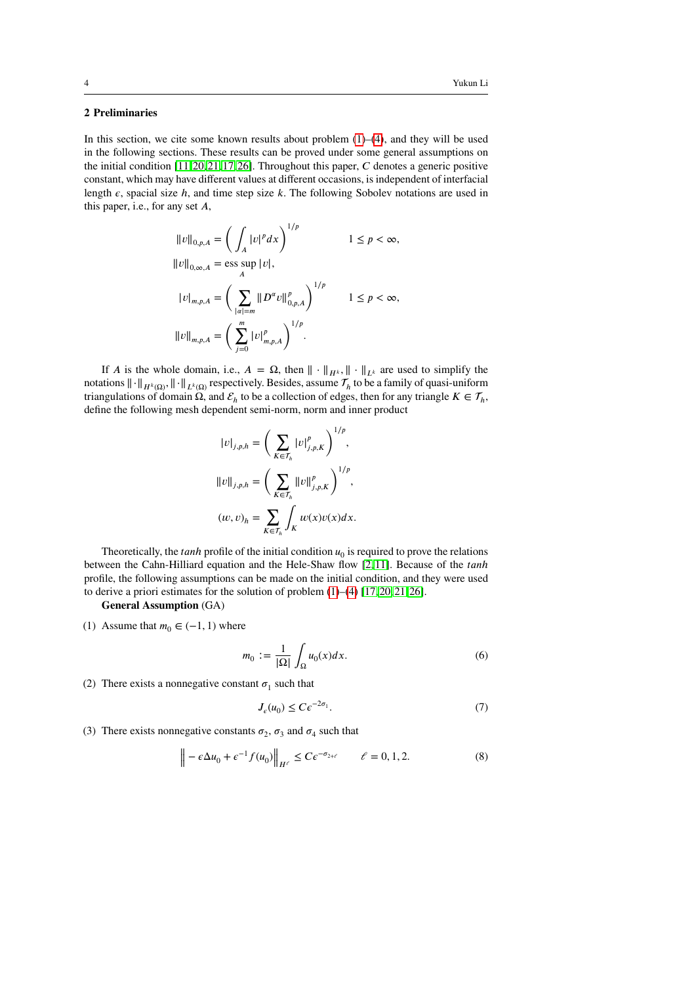# **2 Preliminaries**

In this section, we cite some known results about problem  $(1)$ – $(4)$ , and they will be used in the following sections. These results can be proved under some general assumptions on the initial condition [\[11,](#page-29-3) [20,](#page-29-11) [21,](#page-30-4) [17,](#page-29-12) [26\]](#page-30-5). Throughout this paper, *C* denotes a generic positive constant, which may have different values at different occasions, is independent of interfacial length  $\epsilon$ , spacial size  $h$ , and time step size  $k$ . The following Sobolev notations are used in this paper, i.e., for any set A,

$$
\|v\|_{0,p,A} = \left(\int_A |v|^p dx\right)^{1/p} \qquad 1 \le p < \infty,
$$
  

$$
\|v\|_{0,\infty,A} = \text{ess} \sup_A |v|,
$$
  

$$
|v|_{m,p,A} = \left(\sum_{|\alpha|=m} \|D^{\alpha}v\|_{0,p,A}^p\right)^{1/p} \qquad 1 \le p < \infty,
$$
  

$$
\|v\|_{m,p,A} = \left(\sum_{j=0}^m |v|_{m,p,A}^p\right)^{1/p}.
$$

If *A* is the whole domain, i.e.,  $A = \Omega$ , then  $\|\cdot\|_{H^k}$ ,  $\|\cdot\|_{L^k}$  are used to simplify the notations  $\|\cdot\|_{H^k(\Omega)}$ ,  $\|\cdot\|_{L^k(\Omega)}$  respectively. Besides, assume  $\mathcal{T}_h$  to be a family of quasi-uniform triangulations of domain  $\Omega$ , and  $\mathcal{E}_h$  to be a collection of edges, then for any triangle  $K \in \mathcal{T}_h$ , define the following mesh dependent semi-norm, norm and inner product

$$
\begin{aligned} \left\|v\right\|_{j,p,h} &= \Bigg(\sum_{K\in\mathcal{T}_h}\left|v\right|_{j,p,K}^p\Bigg)^{1/p},\\ \left\|v\right\|_{j,p,h} &= \Bigg(\sum_{K\in\mathcal{T}_h}\left\|v\right\|_{j,p,K}^p\Bigg)^{1/p},\\ (w,v)_h &= \sum_{K\in\mathcal{T}_h}\int_K w(x)v(x)dx. \end{aligned}
$$

Theoretically, the  $tanh$  profile of the initial condition  $u_0$  is required to prove the relations between the Cahn-Hilliard equation and the Hele-Shaw flow [\[2,](#page-29-7) [11\]](#page-29-3). Because of the *tanh* profile, the following assumptions can be made on the initial condition, and they were used to derive a priori estimates for the solution of problem [\(1\)](#page-1-0)–[\(4\)](#page-1-1) [\[17,](#page-29-12) [20,](#page-29-11) [21,](#page-30-4) [26\]](#page-30-5).

# **General Assumption** (GA)

(1) Assume that  $m_0 \in (-1, 1)$  where

<span id="page-3-0"></span>
$$
m_0 := \frac{1}{|\Omega|} \int_{\Omega} u_0(x) dx.
$$
 (6)

(2) There exists a nonnegative constant  $\sigma_1$  such that

<span id="page-3-1"></span>
$$
J_{\epsilon}(u_0) \le C\epsilon^{-2\sigma_1}.\tag{7}
$$

(3) There exists nonnegative constants  $\sigma_2$ ,  $\sigma_3$  and  $\sigma_4$  such that

$$
\left\| -\epsilon \Delta u_0 + \epsilon^{-1} f(u_0) \right\|_{H^{\ell}} \le C \epsilon^{-\sigma_{2+\ell}} \qquad \ell = 0, 1, 2. \tag{8}
$$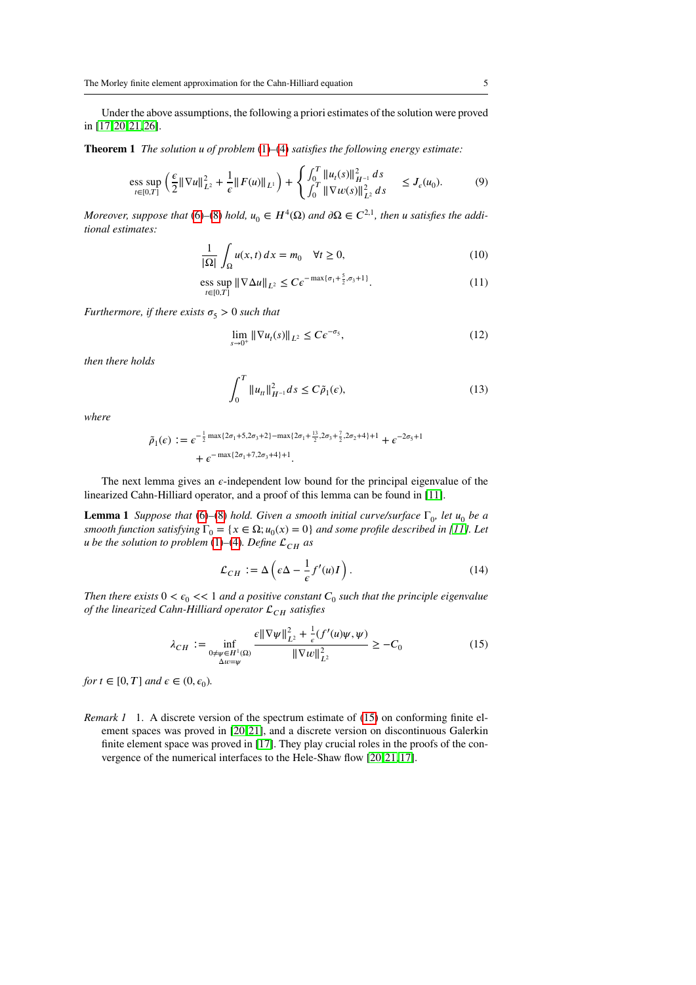Under the above assumptions, the following a priori estimates of the solution were proved in [\[17,](#page-29-12) [20,](#page-29-11) [21,](#page-30-4) [26\]](#page-30-5).

**Theorem 1** *The solution u of problem* [\(1\)](#page-1-0)–[\(4\)](#page-1-1) *satisfies the following energy estimate:* 

$$
\underset{t\in[0,T]}{\mathrm{ess}\,\sup}\,\left(\frac{\epsilon}{2}\|\nabla u\|_{L^{2}}^{2}+\frac{1}{\epsilon}\|F(u)\|_{L^{1}}\right)+\left\{\int_{0}^{T}\|u_{t}(s)\|_{H^{-1}}^{2}\,ds\right\}\quad\leq J_{\epsilon}(u_{0}).\tag{9}
$$

*Moreover, suppose that* [\(6\)](#page-3-0)–[\(8\)](#page-3-1) *hold,*  $u_0 \in H^4(\Omega)$  and  $\partial \Omega \in C^{2,1}$ , then *u* satisfies the addi*tional estimates:*

<span id="page-4-1"></span>
$$
\frac{1}{|\Omega|} \int_{\Omega} u(x, t) dx = m_0 \quad \forall t \ge 0,
$$
\n(10)

$$
\underset{t\in[0,T]}{\text{ess sup}} \|\nabla \Delta u\|_{L^2} \leq C \epsilon^{-\max\{\sigma_1 + \frac{5}{2}, \sigma_3 + 1\}}.
$$
\n(11)

*Furthermore, if there exists*  $\sigma$ <sup>5</sup>  $>$  0 *such that* 

<span id="page-4-4"></span>
$$
\lim_{s \to 0^+} \|\nabla u_t(s)\|_{L^2} \le C e^{-\sigma_5},\tag{12}
$$

*then there holds*

<span id="page-4-3"></span>
$$
\int_0^T \|u_{tt}\|_{H^{-1}}^2 ds \le C\tilde{\rho}_1(\epsilon),\tag{13}
$$

*where*

$$
\tilde{\rho}_1(\epsilon) := \epsilon^{-\frac{1}{2}\max\{2\sigma_1 + 5, 2\sigma_3 + 2\} - \max\{2\sigma_1 + \frac{13}{2}, 2\sigma_3 + \frac{7}{2}, 2\sigma_2 + 4\} + 1} + \epsilon^{-2\sigma_5 + 1} + \epsilon^{-\max\{2\sigma_1 + 7, 2\sigma_3 + 4\} + 1}.
$$

The next lemma gives an  $\epsilon$ -independent low bound for the principal eigenvalue of the linearized Cahn-Hilliard operator, and a proof of this lemma can be found in [\[11\]](#page-29-3).

**Lemma 1** *Suppose that* [\(6\)](#page-3-0)–[\(8\)](#page-3-1) *hold. Given a smooth initial curve/surface*  $\Gamma_0$ , *let*  $u_0$  *be a smooth function satisfying*  $\Gamma_0 = \{x \in \Omega; u_0(x) = 0\}$  *and some profile described in [\[11\]](#page-29-3). Let u* be the solution to problem [\(1\)](#page-1-0)–[\(4\)](#page-1-1). Define  $\mathcal{L}_{CH}$  as

<span id="page-4-2"></span>
$$
\mathcal{L}_{CH} := \Delta \left( \epsilon \Delta - \frac{1}{\epsilon} f'(u) I \right). \tag{14}
$$

*Then there exists*  $0 < \epsilon_0 <$   $<< 1$  *and a positive constant*  $C_0$  *such that the principle eigenvalue of the linearized Cahn-Hilliard operator*  $\mathcal{L}_{CH}$  *satisfies* 

<span id="page-4-0"></span>
$$
\lambda_{CH} := \inf_{\substack{0 \neq \psi \in H^1(\Omega) \\ \Delta w = \psi}} \frac{\epsilon \|\nabla \psi\|_{L^2}^2 + \frac{1}{\epsilon} (f'(u)\psi, \psi)}{\|\nabla w\|_{L^2}^2} \ge -C_0 \tag{15}
$$

*for*  $t \in [0, T]$  and  $\epsilon \in (0, \epsilon_0)$ *.* 

*Remark 1* 1. A discrete version of the spectrum estimate of [\(15\)](#page-4-0) on conforming finite element spaces was proved in [\[20,](#page-29-11) [21\]](#page-30-4), and a discrete version on discontinuous Galerkin finite element space was proved in [\[17\]](#page-29-12). They play crucial roles in the proofs of the convergence of the numerical interfaces to the Hele-Shaw flow [\[20,](#page-29-11) [21,](#page-30-4) [17\]](#page-29-12).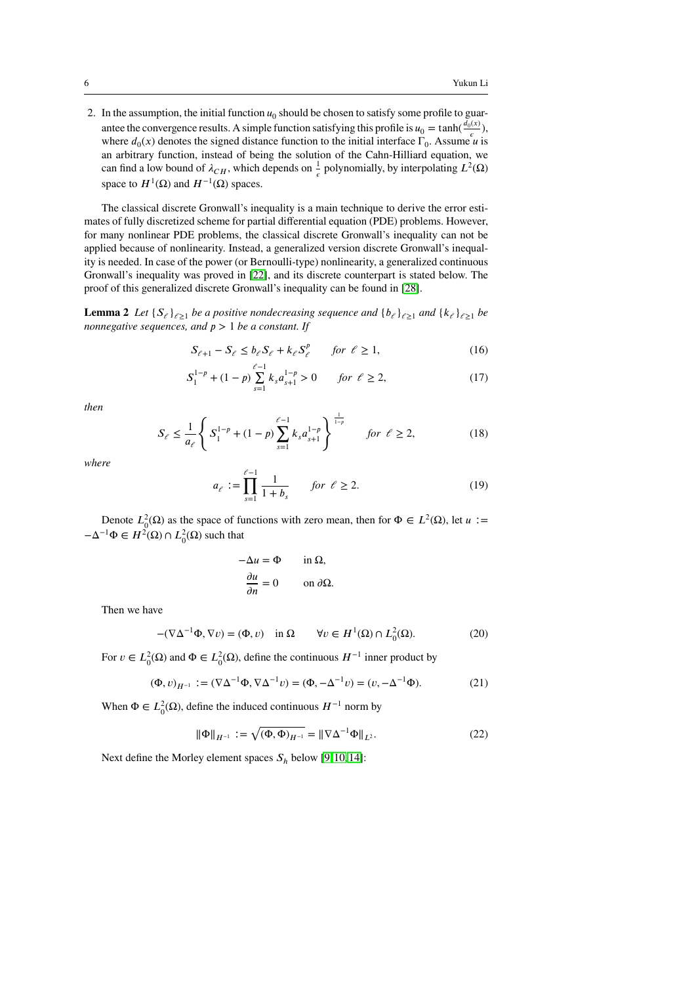2. In the assumption, the initial function  $u_0$  should be chosen to satisfy some profile to guarantee the convergence results. A simple function satisfying this profile is  $u_0 = \tanh(\frac{d_0(x)}{g})$  $\frac{\partial^{(x)}}{\partial \epsilon}$ where  $d_0(x)$  denotes the signed distance function to the initial interface  $\Gamma_0$ . Assume *u* is an arbitrary function, instead of being the solution of the Cahn-Hilliard equation, we can find a low bound of  $\lambda_{CH}$ , which depends on  $\frac{1}{\epsilon}$  polynomially, by interpolating  $L^2(\Omega)$ space to  $H^1(\Omega)$  and  $H^{-1}(\Omega)$  spaces.

The classical discrete Gronwall's inequality is a main technique to derive the error estimates of fully discretized scheme for partial differential equation (PDE) problems. However, for many nonlinear PDE problems, the classical discrete Gronwall's inequality can not be applied because of nonlinearity. Instead, a generalized version discrete Gronwall's inequality is needed. In case of the power (or Bernoulli-type) nonlinearity, a generalized continuous Gronwall's inequality was proved in [\[22\]](#page-30-6), and its discrete counterpart is stated below. The proof of this generalized discrete Gronwall's inequality can be found in [\[28\]](#page-30-7).

<span id="page-5-1"></span>**Lemma 2** *Let*  $\{S_\ell\}_{\ell \geq 1}$  *be a positive nondecreasing sequence and*  $\{b_\ell\}_{\ell \geq 1}$  *and*  $\{k_\ell\}_{\ell \geq 1}$  *be nonnegative sequences, and*  $p > 1$  *be a constant. If* 

$$
S_{\ell+1} - S_{\ell} \le b_{\ell} S_{\ell} + k_{\ell} S_{\ell}^{p} \qquad \text{for } \ell \ge 1,
$$
 (16)

$$
S_1^{1-p} + (1-p)\sum_{s=1}^{\ell-1} k_s a_{s+1}^{1-p} > 0 \qquad \text{for } \ell \ge 2,
$$
 (17)

*then*

$$
S_{\ell} \le \frac{1}{a_{\ell}} \left\{ S_1^{1-p} + (1-p) \sum_{s=1}^{\ell-1} k_s a_{s+1}^{1-p} \right\}^{\frac{1}{1-p}} \quad \text{for } \ell \ge 2,
$$
 (18)

*where*

$$
a_{\ell} := \prod_{s=1}^{\ell-1} \frac{1}{1+b_s} \quad \text{for } \ell \ge 2. \tag{19}
$$

Denote  $L_0^2(\Omega)$  as the space of functions with zero mean, then for  $\Phi \in L^2(\Omega)$ , let  $u :=$  $-\Delta^{-1}\Phi \in H^2(\Omega) \cap L^2_0(\Omega)$  such that

<span id="page-5-0"></span>
$$
-\Delta u = \Phi \quad \text{in } \Omega,
$$
  

$$
\frac{\partial u}{\partial n} = 0 \quad \text{on } \partial \Omega.
$$

Then we have

$$
-(\nabla \Delta^{-1} \Phi, \nabla v) = (\Phi, v) \quad \text{in } \Omega \qquad \forall v \in H^1(\Omega) \cap L^2_0(\Omega). \tag{20}
$$

For  $v \in L_0^2(\Omega)$  and  $\Phi \in L_0^2(\Omega)$ , define the continuous  $H^{-1}$  inner product by

$$
(\Phi, v)_{H^{-1}} := (\nabla \Delta^{-1} \Phi, \nabla \Delta^{-1} v) = (\Phi, -\Delta^{-1} v) = (v, -\Delta^{-1} \Phi).
$$
 (21)

When  $\Phi \in L_0^2(\Omega)$ , define the induced continuous  $H^{-1}$  norm by

$$
\|\Phi\|_{H^{-1}} := \sqrt{(\Phi, \Phi)_{H^{-1}}} = \|\nabla \Delta^{-1} \Phi\|_{L^2}.
$$
 (22)

Next define the Morley element spaces  $S_h$  below [\[9,](#page-29-13) [10,](#page-29-14) [14\]](#page-29-0):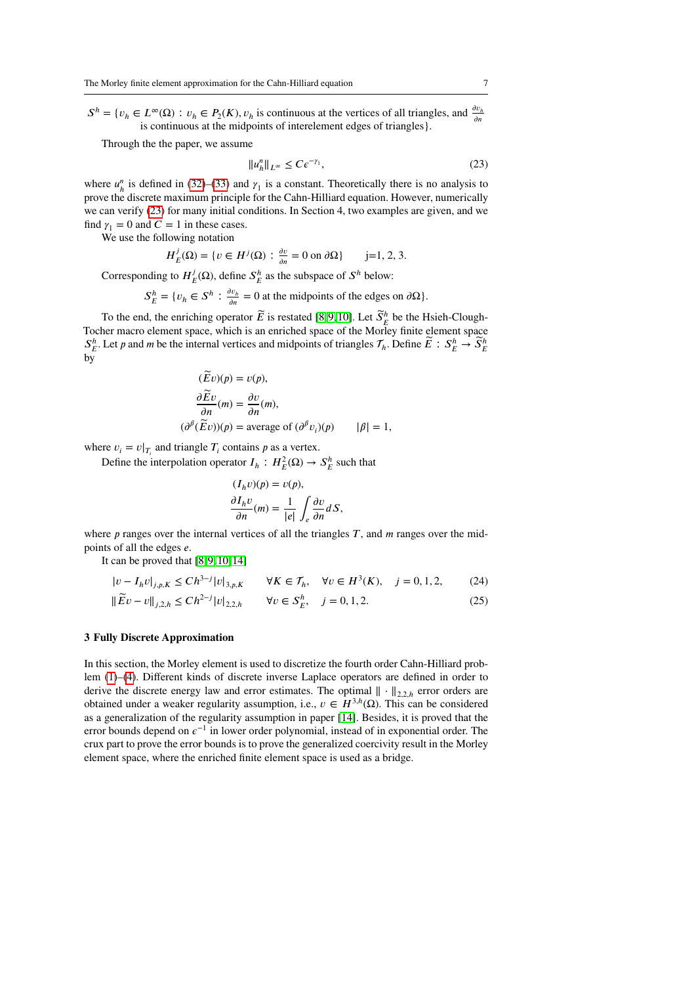$S^h = \{v_h \in L^\infty(\Omega) : v_h \in P_2(K), v_h \text{ is continuous at the vertices of all triangles, and } \frac{\partial v_h}{\partial n}$ is continuous at the midpoints of interelement edges of triangles}.

Through the the paper, we assume

<span id="page-6-0"></span>
$$
||u_h^n||_{L^\infty} \le C\epsilon^{-\gamma_1},\tag{23}
$$

where  $u_h^n$  is defined in [\(32\)](#page-8-0)–[\(33\)](#page-8-1) and  $\gamma_1$  is a constant. Theoretically there is no analysis to prove the discrete maximum principle for the Cahn-Hilliard equation. However, numerically we can verify [\(23\)](#page-6-0) for many initial conditions. In Section 4, two examples are given, and we find  $\gamma_1 = 0$  and  $C = 1$  in these cases.

We use the following notation

$$
H_E^j(\Omega) = \{ v \in H^j(\Omega) : \frac{\partial v}{\partial n} = 0 \text{ on } \partial \Omega \} \qquad j = 1, 2, 3.
$$

Corresponding to  $H^j$  $J_E^j(\Omega)$ , define  $S_E^h$  as the subspace of  $S^h$  below:

> $S_E^h = \{v_h \in S^h : \frac{\partial v_h}{\partial n}\}$  $\frac{\partial v_h}{\partial n} = 0$  at the midpoints of the edges on  $\partial \Omega$ .

To the end, the enriching operator  $\widetilde{E}$  is restated [\[8,](#page-29-15)9,10]. Let  $\widetilde{S}_F^h$  be the Hsieh-Clough-To the end, the entireling operator  $E$  is restated  $[0, 2, 10]$ . Extermination is an enriched space of the Morley finite element space  $S_E^h$ . Let *p* and *m* be the internal vertices and midpoints of triangles  $\mathcal{T}_h$ . Define  $\widetilde{E}: S_E^h \to \widetilde{S}_E^h$ by

$$
(\widetilde{E}v)(p) = v(p),
$$
  
\n
$$
\frac{\partial \widetilde{E}v}{\partial n}(m) = \frac{\partial v}{\partial n}(m),
$$
  
\n
$$
(\partial^{\beta}(\widetilde{E}v))(p) = \text{average of } (\partial^{\beta}v_i)(p) \qquad |\beta| = 1,
$$

where  $v_i = v|_{T_i}$  and triangle  $T_i$  contains  $p$  as a vertex.

Define the interpolation operator  $I_h: H_E^2(\Omega) \to S_E^h$  such that

<span id="page-6-2"></span><span id="page-6-1"></span>
$$
(I_h v)(p) = v(p),
$$
  
\n
$$
\frac{\partial I_h v}{\partial n}(m) = \frac{1}{|e|} \int_e \frac{\partial v}{\partial n} dS,
$$

where  $p$  ranges over the internal vertices of all the triangles  $T$ , and  $m$  ranges over the midpoints of all the edges *e*.

It can be proved that  $[8, 9, 10, 14]$  $[8, 9, 10, 14]$  $[8, 9, 10, 14]$  $[8, 9, 10, 14]$ 

$$
|v - I_h v|_{j, p, K} \le C h^{3-j} |v|_{3, p, K} \qquad \forall K \in \mathcal{T}_h, \quad \forall v \in H^3(K), \quad j = 0, 1, 2, \tag{24}
$$

$$
\|\widetilde{E}v - v\|_{j,2,h} \le Ch^{2-j}|v|_{2,2,h} \qquad \forall v \in S_E^h, \quad j = 0, 1, 2. \tag{25}
$$

## **3 Fully Discrete Approximation**

In this section, the Morley element is used to discretize the fourth order Cahn-Hilliard problem [\(1\)](#page-1-0)–[\(4\)](#page-1-1). Different kinds of discrete inverse Laplace operators are defined in order to derive the discrete energy law and error estimates. The optimal  $\| \cdot \|_{2,2,h}$  error orders are obtained under a weaker regularity assumption, i.e.,  $v \in H^{3,h}(\Omega)$ . This can be considered as a generalization of the regularity assumption in paper [\[14\]](#page-29-0). Besides, it is proved that the error bounds depend on  $\epsilon^{-1}$  in lower order polynomial, instead of in exponential order. The crux part to prove the error bounds is to prove the generalized coercivity result in the Morley element space, where the enriched finite element space is used as a bridge.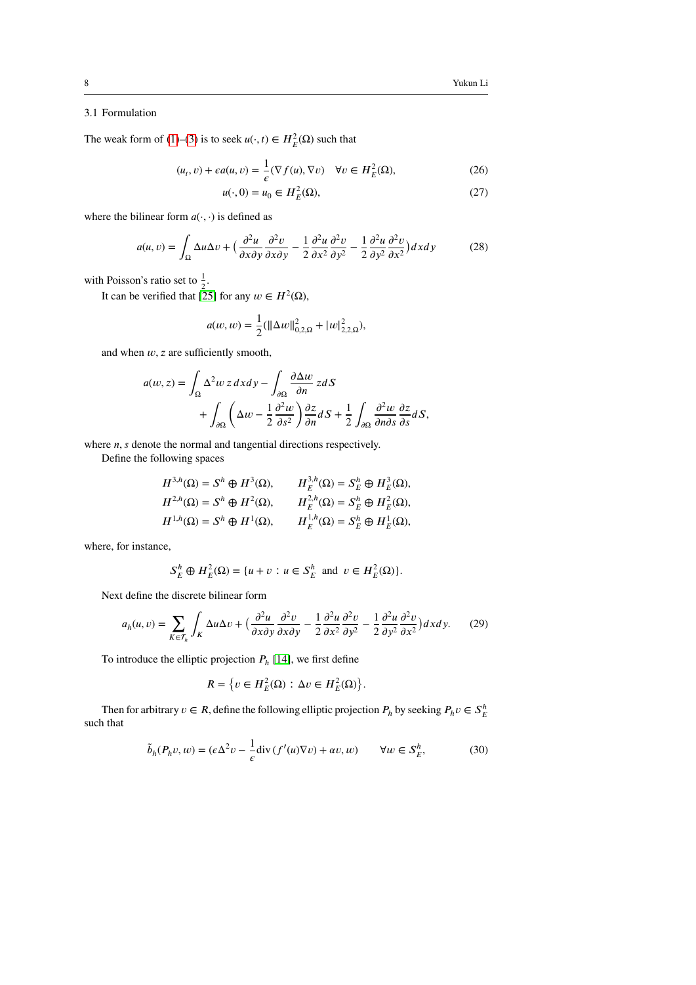# 3.1 Formulation

The weak form of [\(1\)](#page-1-0)–[\(3\)](#page-1-2) is to seek  $u(\cdot, t) \in H_E^2(\Omega)$  such that

$$
(u_t, v) + \epsilon a(u, v) = \frac{1}{\epsilon} (\nabla f(u), \nabla v) \quad \forall v \in H_E^2(\Omega),
$$
 (26)

$$
u(\cdot,0) = u_0 \in H_E^2(\Omega),\tag{27}
$$

where the bilinear form  $a(\cdot, \cdot)$  is defined as

$$
a(u,v) = \int_{\Omega} \Delta u \Delta v + \left(\frac{\partial^2 u}{\partial x \partial y} \frac{\partial^2 v}{\partial x \partial y} - \frac{1}{2} \frac{\partial^2 u}{\partial x^2} \frac{\partial^2 v}{\partial y^2} - \frac{1}{2} \frac{\partial^2 u}{\partial y^2} \frac{\partial^2 v}{\partial x^2}\right) dx dy
$$
 (28)

with Poisson's ratio set to  $\frac{1}{2}$ .

It can be verified that [\[25\]](#page-30-8) for any  $w \in H^2(\Omega)$ ,

$$
a(w, w) = \frac{1}{2} (||\Delta w||_{0,2,\Omega}^2 + |w|_{2,2,\Omega}^2),
$$

and when  $w$ ,  $z$  are sufficiently smooth,

$$
a(w, z) = \int_{\Omega} \Delta^2 w z \, dx \, dy - \int_{\partial \Omega} \frac{\partial \Delta w}{\partial n} z \, dS
$$
  
+ 
$$
\int_{\partial \Omega} \left( \Delta w - \frac{1}{2} \frac{\partial^2 w}{\partial s^2} \right) \frac{\partial z}{\partial n} \, dS + \frac{1}{2} \int_{\partial \Omega} \frac{\partial^2 w}{\partial n \partial s} \frac{\partial z}{\partial s} \, dS,
$$

where *n*, *s* denote the normal and tangential directions respectively.

Define the following spaces

$$
H^{3,h}(\Omega) = S^h \oplus H^3(\Omega), \qquad H_E^{3,h}(\Omega) = S_E^h \oplus H_E^3(\Omega),
$$
  
\n
$$
H^{2,h}(\Omega) = S^h \oplus H^2(\Omega), \qquad H_E^{2,h}(\Omega) = S_E^h \oplus H_E^2(\Omega),
$$
  
\n
$$
H^{1,h}(\Omega) = S^h \oplus H^1(\Omega), \qquad H_E^{1,h}(\Omega) = S_E^h \oplus H_E^1(\Omega),
$$

where, for instance,

$$
S_E^h \oplus H_E^2(\Omega) = \{ u + v : u \in S_E^h \text{ and } v \in H_E^2(\Omega) \}.
$$

Next define the discrete bilinear form

$$
a_h(u,v) = \sum_{K \in \mathcal{T}_h} \int_K \Delta u \Delta v + \left(\frac{\partial^2 u}{\partial x \partial y} \frac{\partial^2 v}{\partial x \partial y} - \frac{1}{2} \frac{\partial^2 u}{\partial x^2} \frac{\partial^2 v}{\partial y^2} - \frac{1}{2} \frac{\partial^2 u}{\partial y^2} \frac{\partial^2 v}{\partial x^2}\right) dx dy. \tag{29}
$$

To introduce the elliptic projection  $P_h$  [\[14\]](#page-29-0), we first define

<span id="page-7-0"></span>
$$
R = \{ v \in H_E^2(\Omega) : \Delta v \in H_E^2(\Omega) \}.
$$

Then for arbitrary  $v \in R$ , define the following elliptic projection  $P_h$  by seeking  $P_h v \in S_E^h$ such that

$$
\tilde{b}_h(P_h v, w) = (\epsilon \Delta^2 v - \frac{1}{\epsilon} \text{div} \left( f'(u) \nabla v \right) + \alpha v, w) \qquad \forall w \in S_E^h,
$$
\n(30)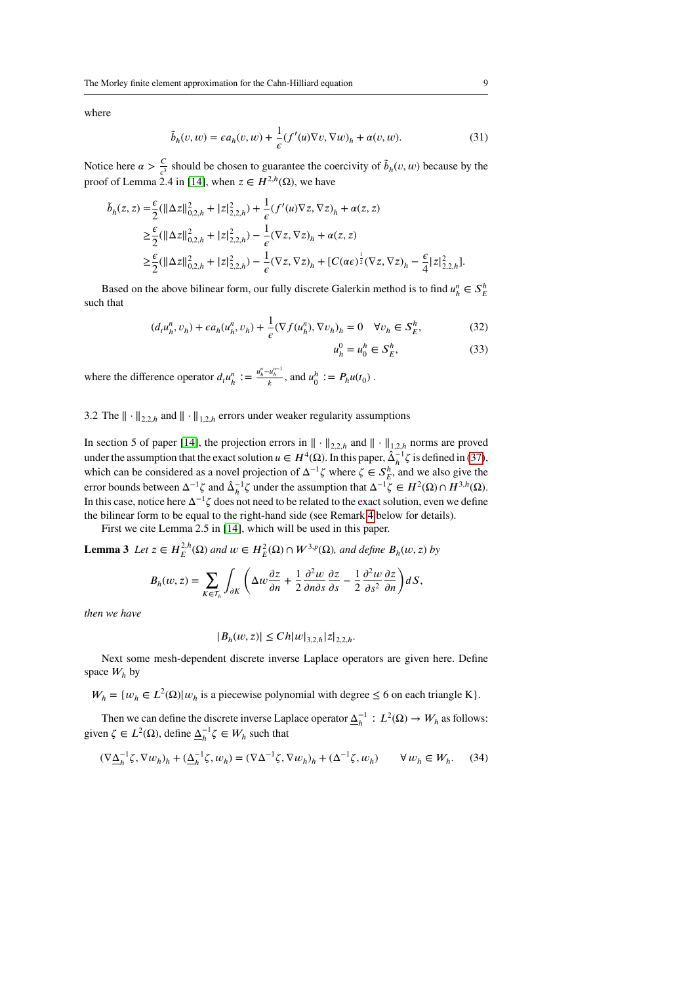where

$$
\tilde{b}_h(v, w) = \epsilon a_h(v, w) + \frac{1}{\epsilon} (f'(u)\nabla v, \nabla w)_h + \alpha(v, w).
$$
\n(31)

Notice here  $\alpha > \frac{C}{\epsilon^3}$  should be chosen to guarantee the coercivity of  $\tilde{b}_h(v, w)$  because by the proof of Lemma 2.4 in [\[14\]](#page-29-0), when  $z \in H^{2,h}(\Omega)$ , we have

$$
\begin{split} \tilde{b}_h(z,z) =& \frac{\epsilon}{2}(\|\Delta z\|_{0,2,h}^2+|z|_{2,2,h}^2)+\frac{1}{\epsilon}(f'(u)\nabla z,\nabla z)_h+\alpha(z,z) \\ \geq & \frac{\epsilon}{2}(\|\Delta z\|_{0,2,h}^2+|z|_{2,2,h}^2)-\frac{1}{\epsilon}(\nabla z,\nabla z)_h+\alpha(z,z) \\ \geq & \frac{\epsilon}{2}(\|\Delta z\|_{0,2,h}^2+|z|_{2,2,h}^2)-\frac{1}{\epsilon}(\nabla z,\nabla z)_h+[C(\alpha\epsilon)^{\frac{1}{2}}(\nabla z,\nabla z)_h-\frac{\epsilon}{4}|z|_{2,2,h}^2]. \end{split}
$$

Based on the above bilinear form, our fully discrete Galerkin method is to find  $u_h^n \in S_E^h$ such that

$$
(d_t u_h^n, v_h) + \epsilon a_h(u_h^n, v_h) + \frac{1}{\epsilon} (\nabla f(u_h^n), \nabla v_h)_h = 0 \quad \forall v_h \in S_E^h,
$$
\n(32)

<span id="page-8-2"></span><span id="page-8-1"></span><span id="page-8-0"></span>
$$
u_h^0 = u_0^h \in S_E^h,\tag{33}
$$

where the difference operator  $d_i u_h^n := \frac{u_h^n - u_h^{n-1}}{k}$ , and  $u_0^n := P_h u(t_0)$ .

3.2 The  $\|\cdot\|_{2,2h}$  and  $\|\cdot\|_{1,2h}$  errors under weaker regularity assumptions

In section 5 of paper [\[14\]](#page-29-0), the projection errors in  $\|\cdot\|_{2,2,h}$  and  $\|\cdot\|_{1,2,h}$  norms are proved under the assumption that the exact solution  $u \in H^4(\Omega)$ . In this paper,  $\hat{\Delta}_h^{-1} \zeta$  is defined in [\(37\)](#page-9-0), which can be considered as a novel projection of  $\Delta^{-1}\zeta$  where  $\zeta \in S_E^h$ , and we also give the error bounds between  $\Delta^{-1}\zeta$  and  $\hat{\Delta}_h^{-1}\zeta$  under the assumption that  $\Delta^{-1}\zeta \in H^2(\Omega) \cap H^{3,h}(\Omega)$ . In this case, notice here  $\Delta^{-1}\zeta$  does not need to be related to the exact solution, even we define the bilinear form to be equal to the right-hand side (see Remark [4](#page-13-0) below for details).

First we cite Lemma 2.5 in [\[14\]](#page-29-0), which will be used in this paper.

**Lemma 3** *Let*  $z \in H_E^{2,h}(\Omega)$  *and*  $w \in H_E^2(\Omega) \cap W^{3,p}(\Omega)$ *, and define*  $B_h(w, z)$  *by* 

$$
B_h(w, z) = \sum_{K \in \mathcal{T}_h} \int_{\partial K} \left( \Delta w \frac{\partial z}{\partial n} + \frac{1}{2} \frac{\partial^2 w}{\partial n \partial s} \frac{\partial z}{\partial s} - \frac{1}{2} \frac{\partial^2 w}{\partial s^2} \frac{\partial z}{\partial n} \right) dS,
$$

*then we have*

$$
|B_h(w, z)| \leq Ch |w|_{3,2,h} |z|_{2,2,h}.
$$

Next some mesh-dependent discrete inverse Laplace operators are given here. Define space  $W_h$  by

 $W_h = \{w_h \in L^2(\Omega) | w_h$  is a piecewise polynomial with degree  $\leq 6$  on each triangle K $\}$ .

Then we can define the discrete inverse Laplace operator  $\underline{\Delta}_h^{-1}$  :  $L^2(\Omega) \to W_h$  as follows: given  $\zeta \in L^2(\Omega)$ , define  $\underline{\Delta}_h^{-1} \zeta \in W_h$  such that

<span id="page-8-3"></span>
$$
(\nabla \underline{\Delta}_h^{-1} \zeta, \nabla w_h)_h + (\underline{\Delta}_h^{-1} \zeta, w_h) = (\nabla \Delta^{-1} \zeta, \nabla w_h)_h + (\Delta^{-1} \zeta, w_h) \qquad \forall w_h \in W_h. \tag{34}
$$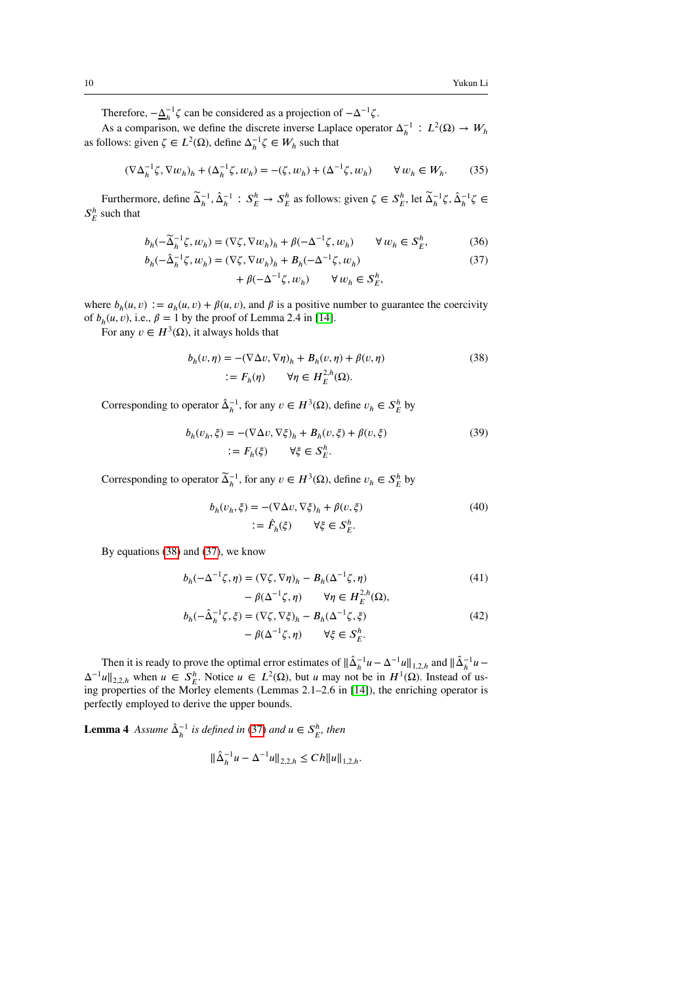Therefore,  $-\underline{\Delta}_h^{-1}\zeta$  can be considered as a projection of  $-\Delta^{-1}\zeta$ .

As a comparison, we define the discrete inverse Laplace operator  $\Delta_h^{-1}$  :  $L^2(\Omega) \to W_h$ as follows: given  $\zeta \in L^2(\Omega)$ , define  $\Delta_h^{-1} \zeta \in W_h$  such that

<span id="page-9-6"></span>
$$
(\nabla \Delta_h^{-1} \zeta, \nabla w_h)_h + (\Delta_h^{-1} \zeta, w_h) = -(\zeta, w_h) + (\Delta^{-1} \zeta, w_h) \qquad \forall w_h \in W_h. \tag{35}
$$

Furthermore, define  $\tilde{\Delta}_h^{-1}$ ,  $\hat{\Delta}_h^{-1}$ :  $S_E^h \to S_E^h$  as follows: given  $\zeta \in S_E^h$ , let  $\tilde{\Delta}_h^{-1} \zeta$ ,  $\hat{\Delta}_h^{-1} \zeta \in$  $S_E^h$  such that

$$
b_h(-\widetilde{\Delta}_h^{-1}\zeta, w_h) = (\nabla \zeta, \nabla w_h)_h + \beta(-\Delta^{-1}\zeta, w_h) \qquad \forall w_h \in S_E^h,
$$
 (36)

$$
b_h(-\hat{\Delta}_h^{-1}\zeta, w_h) = (\nabla \zeta, \nabla w_h)_h + B_h(-\Delta^{-1}\zeta, w_h)
$$
\n(37)

<span id="page-9-4"></span><span id="page-9-1"></span><span id="page-9-0"></span>
$$
+\beta(-\Delta^{-1}\zeta, w_h) \qquad \forall w_h \in S_E^h,
$$

where  $b_h(u, v) := a_h(u, v) + \beta(u, v)$ , and  $\beta$  is a positive number to guarantee the coercivity of  $b_h(u, v)$ , i.e.,  $\beta = 1$  by the proof of Lemma 2.4 in [\[14\]](#page-29-0).

For any  $v \in H^3(\Omega)$ , it always holds that

$$
b_h(v,\eta) = -(\nabla \Delta v, \nabla \eta)_h + B_h(v,\eta) + \beta(v,\eta)
$$
  
 :=  $F_h(\eta)$   $\forall \eta \in H_E^{2,h}(\Omega)$ . (38)

Corresponding to operator  $\hat{\Delta}_h^{-1}$ , for any  $v \in H^3(\Omega)$ , define  $v_h \in S_E^h$  by

$$
b_h(v_h, \xi) = -(\nabla \Delta v, \nabla \xi)_h + B_h(v, \xi) + \beta(v, \xi)
$$
  

$$
:= F_h(\xi) \qquad \forall \xi \in S_E^h.
$$
 (39)

Corresponding to operator  $\widetilde{\Delta}_h^{-1}$ , for any  $v \in H^3(\Omega)$ , define  $v_h \in S_E^h$  by

<span id="page-9-5"></span><span id="page-9-2"></span>
$$
b_h(v_h, \xi) = -(\nabla \Delta v, \nabla \xi)_h + \beta(v, \xi)
$$
  

$$
:= \hat{F}_h(\xi) \qquad \forall \xi \in S_E^h.
$$
 (40)

By equations [\(38\)](#page-9-1) and [\(37\)](#page-9-0), we know

$$
b_h(-\Delta^{-1}\zeta,\eta) = (\nabla \zeta, \nabla \eta)_h - B_h(\Delta^{-1}\zeta, \eta) \tag{41}
$$

$$
-\beta(\Delta^{-1}\zeta,\eta) \qquad \forall \eta \in H_E^{2,h}(\Omega),
$$
  

$$
(-\hat{\Delta}_h^{-1}\zeta,\xi) = (\nabla \zeta, \nabla \xi)_h - B_h(\Delta^{-1}\zeta,\xi)
$$
 (42)

$$
b_h(-\hat{\Delta}_h^{-1}\zeta, \xi) = (\nabla \zeta, \nabla \xi)_h - B_h(\Delta^{-1}\zeta, \xi)
$$
  

$$
- \beta(\Delta^{-1}\zeta, \eta) \qquad \forall \xi \in S_E^h.
$$
 (42)

Then it is ready to prove the optimal error estimates of  $\|\hat{\Delta}_h^{-1}u - \Delta^{-1}u\|_{1,2,h}$  and  $\|\hat{\Delta}_h^{-1}u \Delta^{-1}u\|_{2,2,h}$  when  $u \in S_F^h$ . Notice  $u \in L^2(\Omega)$ , but *u* may not be in  $H^1(\Omega)$ . Instead of using properties of the Morley elements (Lemmas 2.1–2.6 in [\[14\]](#page-29-0)), the enriching operator is perfectly employed to derive the upper bounds.

<span id="page-9-3"></span>**Lemma 4** *Assume*  $\hat{\Delta}_h^{-1}$  *is defined in* [\(37\)](#page-9-0) *and*  $u \in S_E^h$ , *then* 

$$
\|\hat{\Delta}_h^{-1}u - \Delta^{-1}u\|_{2,2,h} \le Ch \|u\|_{1,2,h}.
$$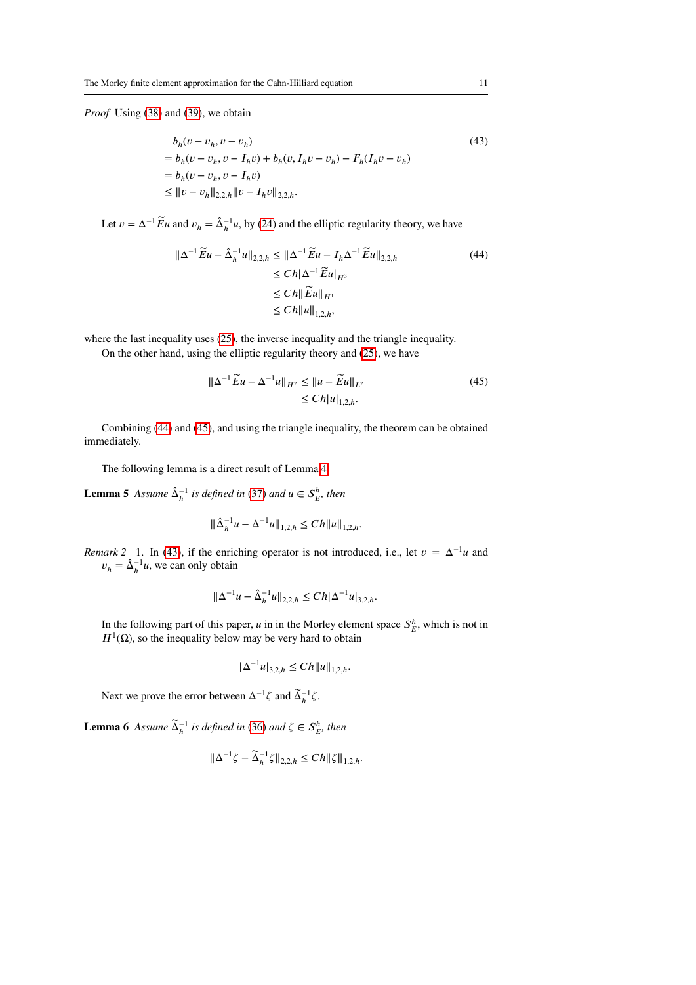*Proof* Using [\(38\)](#page-9-1) and [\(39\)](#page-9-2), we obtain

<span id="page-10-2"></span>
$$
b_h(v - v_h, v - v_h)
$$
  
=  $b_h(v - v_h, v - I_h v) + b_h(v, I_h v - v_h) - F_h(I_h v - v_h)$   
=  $b_h(v - v_h, v - I_h v)$   

$$
\le ||v - v_h||_{2,2,h} ||v - I_h v||_{2,2,h}.
$$
 (43)

Let  $v = \Delta^{-1} \widetilde{E} u$  and  $v_h = \hat{\Delta}_h^{-1} u$ , by [\(24\)](#page-6-1) and the elliptic regularity theory, we have

$$
\|\Delta^{-1}\widetilde{E}u - \hat{\Delta}_{h}^{-1}u\|_{2,2,h} \le \|\Delta^{-1}\widetilde{E}u - I_{h}\Delta^{-1}\widetilde{E}u\|_{2,2,h} \le Ch\|\Delta^{-1}\widetilde{E}u\|_{H^{3}} \le Ch\|\widetilde{E}u\|_{H^{1}} \le Ch\|u\|_{1,2,h},
$$
\n(44)

where the last inequality uses [\(25\)](#page-6-2), the inverse inequality and the triangle inequality.

On the other hand, using the elliptic regularity theory and [\(25\)](#page-6-2), we have

<span id="page-10-1"></span><span id="page-10-0"></span>
$$
\|\Delta^{-1}\widetilde{E}u - \Delta^{-1}u\|_{H^2} \le \|u - \widetilde{E}u\|_{L^2}
$$
  
\n
$$
\le Ch|u|_{1,2,h}.
$$
\n(45)

Combining [\(44\)](#page-10-0) and [\(45\)](#page-10-1), and using the triangle inequality, the theorem can be obtained immediately.

The following lemma is a direct result of Lemma [4.](#page-9-3)

**Lemma 5** *Assume*  $\hat{\Delta}_h^{-1}$  *is defined in* [\(37\)](#page-9-0) *and*  $u \in S_E^h$ , *then* 

<span id="page-10-4"></span>
$$
\|\hat{\Delta}_h^{-1}u - \Delta^{-1}u\|_{1,2,h} \le Ch \|u\|_{1,2,h}.
$$

*Remark 2* 1. In [\(43\)](#page-10-2), if the enriching operator is not introduced, i.e., let  $v = \Delta^{-1}u$  and  $v_h = \hat{\Delta}_h^{-1} u$ , we can only obtain

$$
\|\Delta^{-1}u - \hat{\Delta}_h^{-1}u\|_{2,2,h} \le Ch|\Delta^{-1}u|_{3,2,h}.
$$

In the following part of this paper, *u* in in the Morley element space  $S_E^h$ , which is not in  $H^1(\Omega)$ , so the inequality below may be very hard to obtain

$$
|\Delta^{-1}u|_{3,2,h} \le Ch \|u\|_{1,2,h}.
$$

Next we prove the error between  $\Delta^{-1}\zeta$  and  $\widetilde{\Delta}_h^{-1}\zeta$ .

<span id="page-10-3"></span>**Lemma 6** *Assume*  $\widetilde{\Delta}_h^{-1}$  *is defined in* [\(36\)](#page-9-4) *and*  $\zeta \in S_E^h$ *, then* 

$$
\|\Delta^{-1}\zeta - \widetilde{\Delta}_h^{-1}\zeta\|_{2,2,h} \le C h \|\zeta\|_{1,2,h}.
$$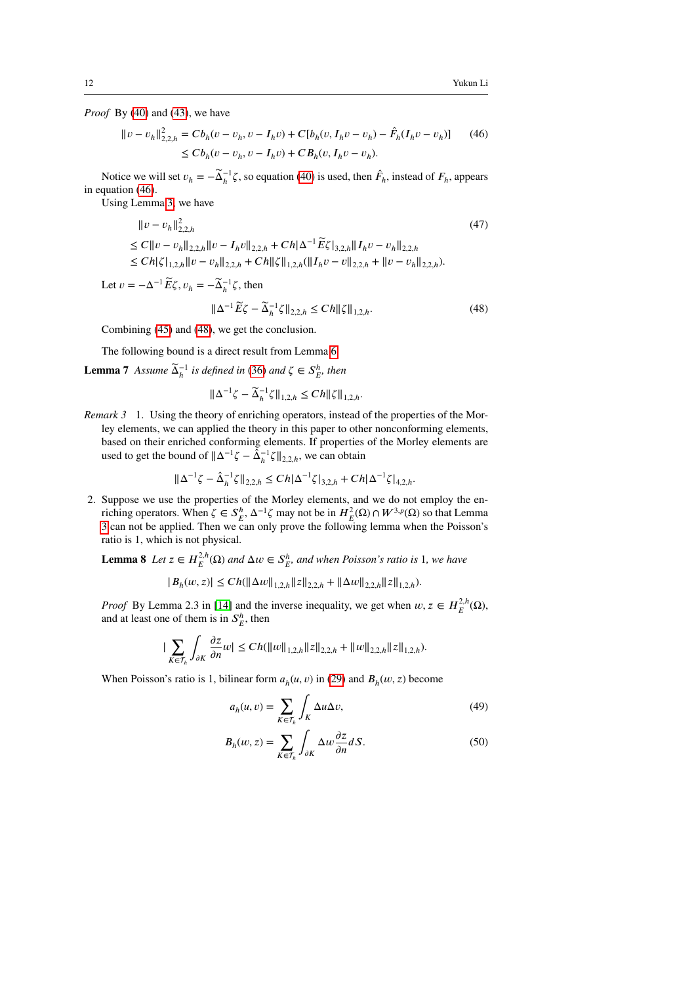*Proof* By [\(40\)](#page-9-5) and [\(43\)](#page-10-2), we have

<span id="page-11-0"></span>
$$
||v - v_h||_{2,2,h}^2 = Cb_h(v - v_h, v - I_h v) + C[b_h(v, I_h v - v_h) - \hat{F}_h(I_h v - v_h)]
$$
 (46)  

$$
\leq Cb_h(v - v_h, v - I_h v) + CB_h(v, I_h v - v_h).
$$

Notice we will set  $v_h = -\tilde{\Delta}_h^{-1}\zeta$ , so equation [\(40\)](#page-9-5) is used, then  $\hat{F}_h$ , instead of  $F_h$ , appears in equation [\(46\)](#page-11-0).

Using Lemma [3,](#page-8-2) we have

$$
\|v - v_h\|_{2,2,h}^2
$$
\n
$$
\leq C \|v - v_h\|_{2,2,h}^2 \|v - I_h v\|_{2,2,h} + Ch|\Delta^{-1} \widetilde{E} \zeta|_{3,2,h} \|I_h v - v_h\|_{2,2,h} \\
\leq Ch|\zeta|_{1,2,h} \|v - v_h\|_{2,2,h} + Ch \|\zeta\|_{1,2,h} (\|I_h v - v\|_{2,2,h} + \|v - v_h\|_{2,2,h}).
$$
\n(47)

Let  $v = -\Delta^{-1} \widetilde{E} \zeta$ ,  $v_h = -\widetilde{\Delta}_h^{-1} \zeta$ , then  $\|\Delta^{-1}\widetilde{E}\zeta - \widetilde{\Delta}_h^{-1}\zeta\|_{2,2,h} \le Ch \|\zeta\|_{1,2,h}.$ (48)

Combining [\(45\)](#page-10-1) and [\(48\)](#page-11-1), we get the conclusion.

The following bound is a direct result from Lemma [6.](#page-10-3)

**Lemma 7** *Assume*  $\widetilde{\Delta}_h^{-1}$  *is defined in* [\(36\)](#page-9-4) *and*  $\zeta \in S_E^h$ *, then* 

<span id="page-11-2"></span><span id="page-11-1"></span>
$$
\|\Delta^{-1}\zeta - \widetilde{\Delta}_h^{-1}\zeta\|_{1,2,h} \le C h \|\zeta\|_{1,2,h}.
$$

*Remark 3* 1. Using the theory of enriching operators, instead of the properties of the Morley elements, we can applied the theory in this paper to other nonconforming elements, based on their enriched conforming elements. If properties of the Morley elements are used to get the bound of  $\|\Delta^{-1}\zeta - \tilde{\Delta}_h^{-1}\zeta\|_{2,2,h}$ , we can obtain

$$
\|\Delta^{-1}\zeta - \hat{\Delta}_h^{-1}\zeta\|_{2,2,h} \le Ch|\Delta^{-1}\zeta|_{3,2,h} + Ch|\Delta^{-1}\zeta|_{4,2,h}.
$$

2. Suppose we use the properties of the Morley elements, and we do not employ the enriching operators. When  $\zeta \in S_E^h$ ,  $\Delta^{-1} \zeta$  may not be in  $H_E^2(\Omega) \cap W^{3,p}(\Omega)$  so that Lemma [3](#page-8-2) can not be applied. Then we can only prove the following lemma when the Poisson's ratio is 1, which is not physical.

**Lemma 8** *Let*  $z \in H_E^{2,h}(\Omega)$  *and*  $\Delta w \in S_E^h$  *and when Poisson's ratio is* 1*, we have* 

$$
|B_h(w, z)| \le Ch(||\Delta w||_{1,2,h} ||z||_{2,2,h} + ||\Delta w||_{2,2,h} ||z||_{1,2,h}).
$$

*Proof* By Lemma 2.3 in [\[14\]](#page-29-0) and the inverse inequality, we get when  $w, z \in H_E^{2,h}(\Omega)$ , and at least one of them is in  $S_E^h$ , then

$$
|\sum_{K\in\mathcal{T}_h}\int_{\partial K}\frac{\partial z}{\partial n}w|\leq Ch(\|w\|_{1,2,h}\|z\|_{2,2,h}+\|w\|_{2,2,h}\|z\|_{1,2,h}).
$$

When Poisson's ratio is 1, bilinear form  $a_h(u, v)$  in [\(29\)](#page-7-0) and  $B_h(w, z)$  become

$$
a_h(u,v) = \sum_{K \in \mathcal{T}_h} \int_K \Delta u \Delta v,\tag{49}
$$

$$
B_h(w, z) = \sum_{K \in \mathcal{T}_h} \int_{\partial K} \Delta w \frac{\partial z}{\partial n} dS.
$$
 (50)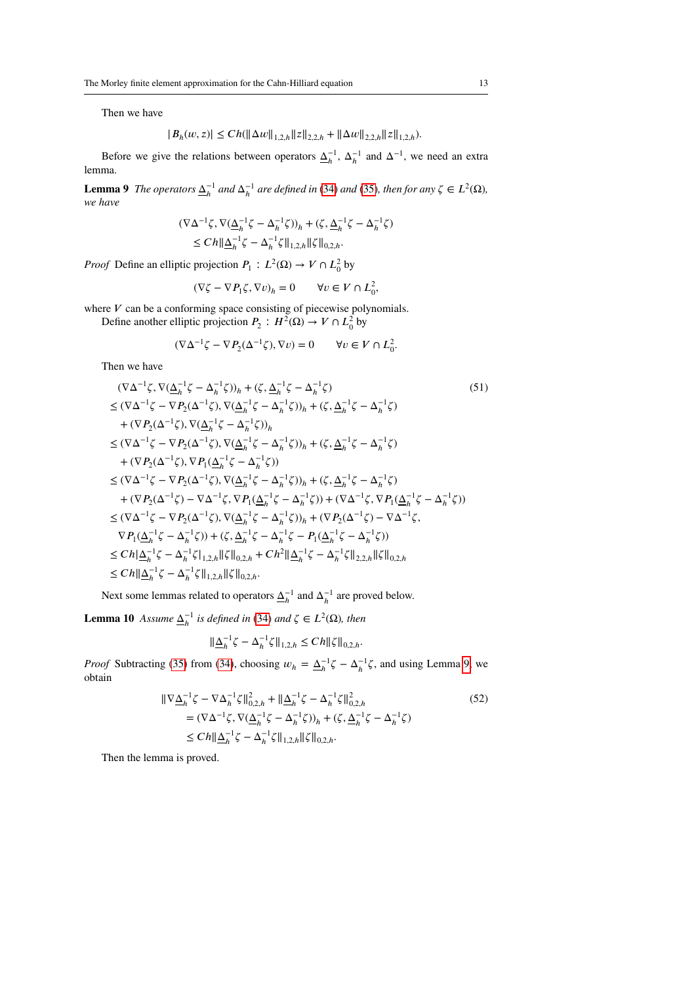Then we have

$$
|B_h(w, z)| \le Ch(||\Delta w||_{1,2,h} ||z||_{2,2,h} + ||\Delta w||_{2,2,h} ||z||_{1,2,h}).
$$

<span id="page-12-0"></span>Before we give the relations between operators  $\Delta_h^{-1}$ ,  $\Delta_h^{-1}$  and  $\Delta^{-1}$ , we need an extra lemma.

**Lemma 9** *The operators*  $\underline{\Delta}_h^{-1}$  *and*  $\underline{\Delta}_h^{-1}$  *are defined in* [\(34\)](#page-8-3) *and* [\(35\)](#page-9-6)*, then for any*  $\zeta \in L^2(\Omega)$ *, we have*

$$
\begin{aligned} (\nabla \Delta^{-1} \zeta, \nabla (\underline{\Delta}_h^{-1} \zeta - \Delta_h^{-1} \zeta))_h + (\zeta, \underline{\Delta}_h^{-1} \zeta - \Delta_h^{-1} \zeta) \\ &\leq Ch \|\underline{\Delta}_h^{-1} \zeta - \Delta_h^{-1} \zeta\|_{1,2,h} \|\zeta\|_{0,2,h} .\end{aligned}
$$

*Proof* Define an elliptic projection  $P_1: L^2(\Omega) \to V \cap L^2_0$  by

$$
(\nabla \zeta - \nabla P_1 \zeta, \nabla v)_h = 0 \qquad \forall v \in V \cap L^2_0,
$$

where  $V$  can be a conforming space consisting of piecewise polynomials. Define another elliptic projection  $P_2: H^2(\Omega) \to V \cap L^2_0$  by

$$
(\nabla \Delta^{-1} \zeta - \nabla P_2(\Delta^{-1} \zeta), \nabla v) = 0 \qquad \forall v \in V \cap L^2_0.
$$

Then we have

$$
(\nabla \Delta^{-1} \zeta, \nabla (\underline{\Delta}_{h}^{-1} \zeta - \Delta_{h}^{-1} \zeta))_{h} + (\zeta, \underline{\Delta}_{h}^{-1} \zeta - \Delta_{h}^{-1} \zeta) \qquad (51)
$$
  
\n
$$
\leq (\nabla \Delta^{-1} \zeta - \nabla P_{2} (\Delta^{-1} \zeta), \nabla (\underline{\Delta}_{h}^{-1} \zeta - \Delta_{h}^{-1} \zeta))_{h} + (\zeta, \underline{\Delta}_{h}^{-1} \zeta - \Delta_{h}^{-1} \zeta) \qquad (51)
$$
  
\n
$$
+ (\nabla P_{2} (\Delta^{-1} \zeta), \nabla (\underline{\Delta}_{h}^{-1} \zeta - \Delta_{h}^{-1} \zeta))_{h} \qquad (51)
$$
  
\n
$$
\leq (\nabla \Delta^{-1} \zeta - \nabla P_{2} (\Delta^{-1} \zeta), \nabla (\underline{\Delta}_{h}^{-1} \zeta - \Delta_{h}^{-1} \zeta))_{h} + (\zeta, \underline{\Delta}_{h}^{-1} \zeta - \Delta_{h}^{-1} \zeta) \qquad (61)
$$
  
\n
$$
+ (\nabla P_{2} (\Delta^{-1} \zeta), \nabla P_{1} (\underline{\Delta}_{h}^{-1} \zeta - \Delta_{h}^{-1} \zeta))
$$
  
\n
$$
\leq (\nabla \Delta^{-1} \zeta - \nabla P_{2} (\Delta^{-1} \zeta), \nabla (\underline{\Delta}_{h}^{-1} \zeta - \Delta_{h}^{-1} \zeta))_{h} + (\zeta, \underline{\Delta}_{h}^{-1} \zeta - \Delta_{h}^{-1} \zeta) \qquad (61)
$$
  
\n
$$
+ (\nabla P_{2} (\Delta^{-1} \zeta) - \nabla \Delta^{-1} \zeta, \nabla P_{1} (\underline{\Delta}_{h}^{-1} \zeta - \Delta_{h}^{-1} \zeta)) + (\nabla \Delta^{-1} \zeta, \nabla P_{1} (\underline{\Delta}_{h}^{-1} \zeta - \Delta_{h}^{-1} \zeta))
$$
  
\n
$$
\leq (\nabla \Delta^{-1} \zeta - \nabla P_{2} (\Delta^{-1} \zeta), \nabla (\underline{\Delta}_{h}^{-1} \zeta - \Delta_{h}^{-1} \zeta))_{
$$

Next some lemmas related to operators  $\underline{\Delta}_h^{-1}$  and  $\Delta_h^{-1}$  are proved below.

<span id="page-12-1"></span>**Lemma 10** *Assume*  $\underline{\Delta}_h^{-1}$  *is defined in* [\(34\)](#page-8-3) *and*  $\zeta \in L^2(\Omega)$ *, then* 

$$
\|\underline{\Delta}_h^{-1}\zeta - \Delta_h^{-1}\zeta\|_{1,2,h} \le C h \|\zeta\|_{0,2,h}.
$$

*Proof* Subtracting [\(35\)](#page-9-6) from [\(34\)](#page-8-3), choosing  $w_h = \Delta_h^{-1} \zeta - \Delta_h^{-1} \zeta$ , and using Lemma [9,](#page-12-0) we obtain

$$
\|\nabla \underline{\Delta}_{h}^{-1} \zeta - \nabla \Delta_{h}^{-1} \zeta \|_{0,2,h}^{2} + \|\underline{\Delta}_{h}^{-1} \zeta - \Delta_{h}^{-1} \zeta \|_{0,2,h}^{2}
$$
\n
$$
= (\nabla \Delta^{-1} \zeta, \nabla (\underline{\Delta}_{h}^{-1} \zeta - \Delta_{h}^{-1} \zeta))_{h} + (\zeta, \underline{\Delta}_{h}^{-1} \zeta - \Delta_{h}^{-1} \zeta)
$$
\n
$$
\leq C h \|\underline{\Delta}_{h}^{-1} \zeta - \Delta_{h}^{-1} \zeta \|_{1,2,h} \|\zeta\|_{0,2,h}.
$$
\n(52)

<span id="page-12-2"></span>Then the lemma is proved.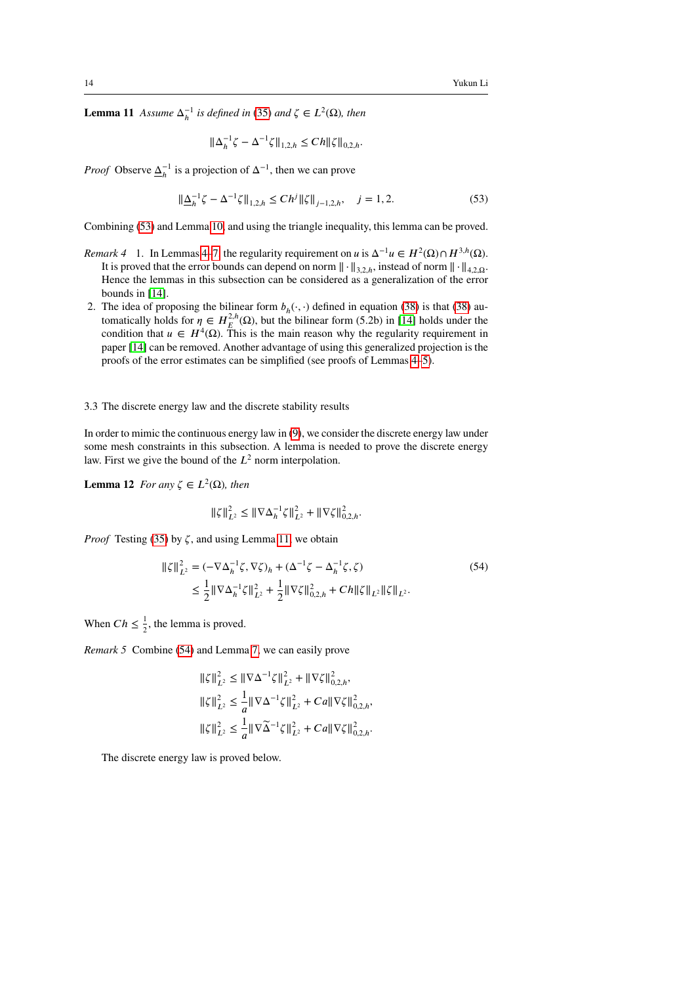**Lemma 11** *Assume*  $\Delta_h^{-1}$  *is defined in* [\(35\)](#page-9-6) *and*  $\zeta \in L^2(\Omega)$ *, then* 

<span id="page-13-1"></span>
$$
\|\Delta_h^{-1}\zeta - \Delta^{-1}\zeta\|_{1,2,h} \le C h \|\zeta\|_{0,2,h}.
$$

*Proof* Observe  $\underline{\Delta}_h^{-1}$  is a projection of  $\Delta^{-1}$ , then we can prove

$$
\|\underline{\Delta}_{h}^{-1}\zeta - \Delta^{-1}\zeta\|_{1,2,h} \le Ch^j \|\zeta\|_{j-1,2,h}, \quad j = 1,2. \tag{53}
$$

Combining [\(53\)](#page-13-1) and Lemma [10,](#page-12-1) and using the triangle inequality, this lemma can be proved.

- <span id="page-13-0"></span>*Remark [4](#page-9-3)* 1. In Lemmas 4[–7,](#page-11-2) the regularity requirement on *u* is  $\Delta^{-1}u \in H^2(\Omega) \cap H^{3,h}(\Omega)$ . It is proved that the error bounds can depend on norm  $\|\cdot\|_{3,2,h}$ , instead of norm  $\|\cdot\|_{4,2,\Omega}$ . Hence the lemmas in this subsection can be considered as a generalization of the error bounds in [\[14\]](#page-29-0).
- 2. The idea of proposing the bilinear form  $b_h(\cdot, \cdot)$  defined in equation [\(38\)](#page-9-1) is that (38) automatically holds for  $\eta \in H^{2,h}_{E}(\Omega)$ , but the bilinear form (5.2b) in [\[14\]](#page-29-0) holds under the condition that  $u \in H^4(\Omega)$ . This is the main reason why the regularity requirement in paper [\[14\]](#page-29-0) can be removed. Another advantage of using this generalized projection is the proofs of the error estimates can be simplified (see proofs of Lemmas [4–](#page-9-3)[5\)](#page-10-4).

3.3 The discrete energy law and the discrete stability results

In order to mimic the continuous energy law in [\(9\)](#page-4-1), we consider the discrete energy law under some mesh constraints in this subsection. A lemma is needed to prove the discrete energy law. First we give the bound of the  $L^2$  norm interpolation.

**Lemma 12** *For any*  $\zeta \in L^2(\Omega)$ *, then* 

<span id="page-13-2"></span>
$$
\|\zeta\|_{L^2}^2 \le \|\nabla \Delta_h^{-1} \zeta\|_{L^2}^2 + \|\nabla \zeta\|_{0,2,h}^2.
$$

*Proof* Testing [\(35\)](#page-9-6) by ζ, and using Lemma [11,](#page-12-2) we obtain

$$
\|\zeta\|_{L^2}^2 = (-\nabla \Delta_h^{-1} \zeta, \nabla \zeta)_h + (\Delta^{-1} \zeta - \Delta_h^{-1} \zeta, \zeta)
$$
\n
$$
\leq \frac{1}{2} \|\nabla \Delta_h^{-1} \zeta\|_{L^2}^2 + \frac{1}{2} \|\nabla \zeta\|_{0,2,h}^2 + Ch \|\zeta\|_{L^2} \|\zeta\|_{L^2}.
$$
\n(54)

When  $Ch \leq \frac{1}{2}$  $\frac{1}{2}$ , the lemma is proved.

<span id="page-13-3"></span>*Remark 5* Combine [\(54\)](#page-13-2) and Lemma [7,](#page-11-2) we can easily prove

<span id="page-13-4"></span>
$$
\begin{aligned} &\|\zeta\|^{2}_{L^{2}} \leq \|\nabla\Delta^{-1}\zeta\|^{2}_{L^{2}} + \|\nabla\zeta\|^{2}_{0,2,h},\\ &\|\zeta\|^{2}_{L^{2}} \leq \frac{1}{a}\|\nabla\Delta^{-1}\zeta\|^{2}_{L^{2}} + Ca\|\nabla\zeta\|^{2}_{0,2,h},\\ &\|\zeta\|^{2}_{L^{2}} \leq \frac{1}{a}\|\nabla\widetilde{\Delta}^{-1}\zeta\|^{2}_{L^{2}} + Ca\|\nabla\zeta\|^{2}_{0,2,h}. \end{aligned}
$$

The discrete energy law is proved below.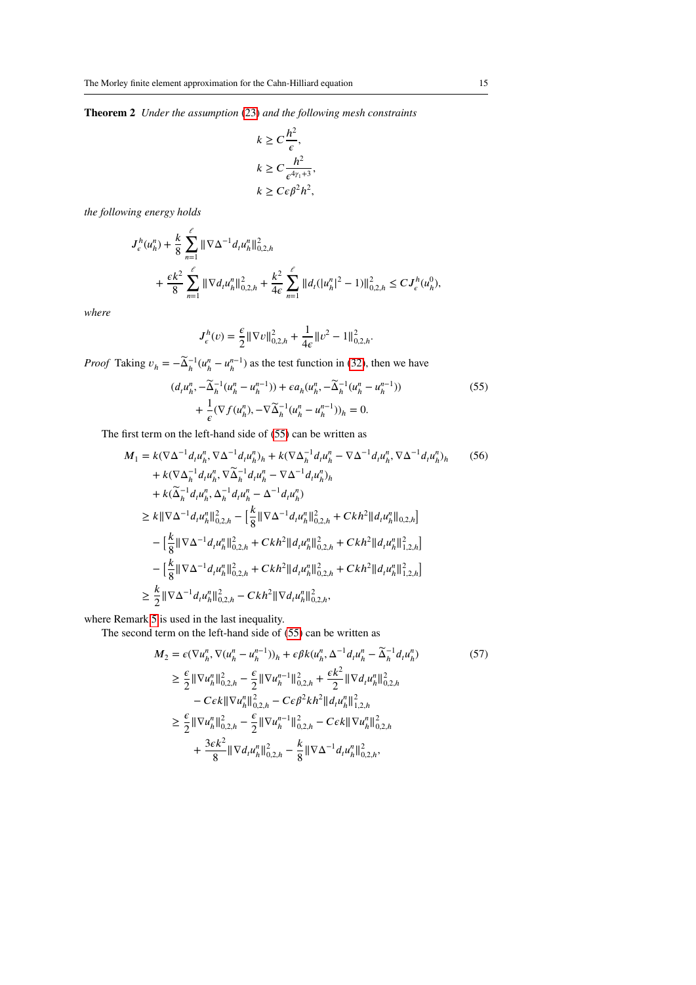**Theorem 2** *Under the assumption* [\(23\)](#page-6-0) *and the following mesh constraints*

$$
k \ge C \frac{h^2}{\epsilon},
$$
  

$$
k \ge C \frac{h^2}{\epsilon^{4\gamma_1+3}},
$$
  

$$
k \ge C\epsilon \beta^2 h^2,
$$

*the following energy holds*

$$
J_e^h(u_h^n) + \frac{k}{8} \sum_{n=1}^e \|\nabla \Delta^{-1} d_t u_h^n\|_{0,2,h}^2
$$
  
+ 
$$
\frac{\epsilon k^2}{8} \sum_{n=1}^e \|\nabla d_t u_h^n\|_{0,2,h}^2 + \frac{k^2}{4\epsilon} \sum_{n=1}^e \|d_t (|u_h^n|^2 - 1)\|_{0,2,h}^2 \le C J_e^h(u_h^0),
$$

*where*

<span id="page-14-0"></span>
$$
J_{\epsilon}^h(v)=\frac{\epsilon}{2}\|\nabla v\|_{0,2,h}^2+\frac{1}{4\epsilon}\|v^2-1\|_{0,2,h}^2.
$$

*Proof* Taking  $v_h = -\tilde{\Delta}_h^{-1}(u_h^n - u_h^{n-1})$  as the test function in [\(32\)](#page-8-0), then we have

$$
(d_t u_h^n, -\widetilde{\Delta}_h^{-1}(u_h^n - u_h^{n-1})) + \epsilon a_h(u_h^n, -\widetilde{\Delta}_h^{-1}(u_h^n - u_h^{n-1})) + \frac{1}{\epsilon}(\nabla f(u_h^n), -\nabla \widetilde{\Delta}_h^{-1}(u_h^n - u_h^{n-1}))_h = 0.
$$
 (55)

The first term on the left-hand side of [\(55\)](#page-14-0) can be written as

$$
M_{1} = k(\nabla \Delta^{-1} d_{t} u_{h}^{n}, \nabla \Delta^{-1} d_{t} u_{h}^{n})_{h} + k(\nabla \Delta_{h}^{-1} d_{t} u_{h}^{n} - \nabla \Delta^{-1} d_{t} u_{h}^{n}, \nabla \Delta^{-1} d_{t} u_{h}^{n})_{h}
$$
\n
$$
+ k(\nabla \Delta_{h}^{-1} d_{t} u_{h}^{n}, \nabla \Delta_{h}^{-1} d_{t} u_{h}^{n} - \nabla \Delta^{-1} d_{t} u_{h}^{n})_{h}
$$
\n
$$
+ k(\tilde{\Delta}_{h}^{-1} d_{t} u_{h}^{n}, \Delta_{h}^{-1} d_{t} u_{h}^{n} - \Delta^{-1} d_{t} u_{h}^{n})
$$
\n
$$
\geq k \|\nabla \Delta^{-1} d_{t} u_{h}^{n}\|_{0,2,h}^{2} - \left[\frac{k}{8} \|\nabla \Delta^{-1} d_{t} u_{h}^{n}\|_{0,2,h}^{2} + Ckh^{2} \|d_{t} u_{h}^{n}\|_{0,2,h}^{2}\right]
$$
\n
$$
- \left[\frac{k}{8} \|\nabla \Delta^{-1} d_{t} u_{h}^{n}\|_{0,2,h}^{2} + Ckh^{2} \|d_{t} u_{h}^{n}\|_{0,2,h}^{2} + Ckh^{2} \|d_{t} u_{h}^{n}\|_{1,2,h}^{2}\right]
$$
\n
$$
- \left[\frac{k}{8} \|\nabla \Delta^{-1} d_{t} u_{h}^{n}\|_{0,2,h}^{2} + Ckh^{2} \|d_{t} u_{h}^{n}\|_{0,2,h}^{2} + Ckh^{2} \|d_{t} u_{h}^{n}\|_{1,2,h}^{2}\right]
$$
\n
$$
\geq \frac{k}{2} \|\nabla \Delta^{-1} d_{t} u_{h}^{n}\|_{0,2,h}^{2} - Ckh^{2} \|\nabla d_{t} u_{h}^{n}\|_{0,2,h}^{2},
$$

where Remark [5](#page-13-3) is used in the last inequality.

The second term on the left-hand side of [\(55\)](#page-14-0) can be written as

$$
M_{2} = \epsilon (\nabla u_{h}^{n}, \nabla (u_{h}^{n} - u_{h}^{n-1}))_{h} + \epsilon \beta k (u_{h}^{n}, \Delta^{-1} d_{t} u_{h}^{n} - \tilde{\Delta}_{h}^{-1} d_{t} u_{h}^{n})
$$
\n
$$
\geq \frac{\epsilon}{2} ||\nabla u_{h}^{n}||_{0,2,h}^{2} - \frac{\epsilon}{2} ||\nabla u_{h}^{n-1}||_{0,2,h}^{2} + \frac{\epsilon k^{2}}{2} ||\nabla d_{t} u_{h}^{n}||_{0,2,h}^{2}
$$
\n
$$
- C\epsilon k ||\nabla u_{h}^{n}||_{0,2,h}^{2} - C\epsilon \beta^{2} k h^{2} ||d_{t} u_{h}^{n}||_{1,2,h}^{2}
$$
\n
$$
\geq \frac{\epsilon}{2} ||\nabla u_{h}^{n}||_{0,2,h}^{2} - \frac{\epsilon}{2} ||\nabla u_{h}^{n-1}||_{0,2,h}^{2} - C\epsilon k ||\nabla u_{h}^{n}||_{0,2,h}^{2}
$$
\n
$$
+ \frac{3\epsilon k^{2}}{8} ||\nabla d_{t} u_{h}^{n}||_{0,2,h}^{2} - \frac{k}{8} ||\nabla \Delta^{-1} d_{t} u_{h}^{n}||_{0,2,h}^{2},
$$
\n(57)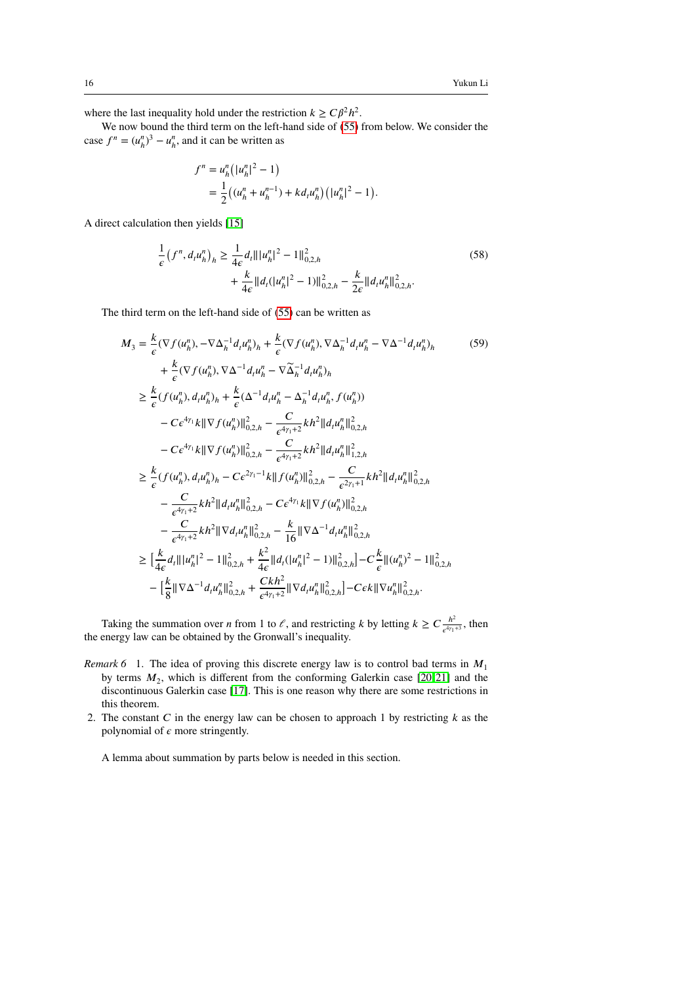where the last inequality hold under the restriction  $k \geq C\beta^2 h^2$ .

We now bound the third term on the left-hand side of [\(55\)](#page-14-0) from below. We consider the case  $f^n = (u^n_h)^3 - u^n_h$ , and it can be written as

$$
f^{n} = u_{h}^{n} (|u_{h}^{n}|^{2} - 1)
$$
  
= 
$$
\frac{1}{2} ((u_{h}^{n} + u_{h}^{n-1}) + kd_{t}u_{h}^{n}) (|u_{h}^{n}|^{2} - 1).
$$

A direct calculation then yields [\[15\]](#page-29-16)

$$
\frac{1}{\epsilon} (f^n, d_t u_h^n)_h \ge \frac{1}{4\epsilon} d_t \| |u_h^n|^2 - 1 \|_{0,2,h}^2
$$
\n
$$
+ \frac{k}{4\epsilon} \| d_t (|u_h^n|^2 - 1) \|_{0,2,h}^2 - \frac{k}{2\epsilon} \| d_t u_h^n \|_{0,2,h}^2. \tag{58}
$$

The third term on the left-hand side of [\(55\)](#page-14-0) can be written as

$$
M_{3} = \frac{k}{\epsilon} (\nabla f(u_{h}^{n}), -\nabla \Delta_{h}^{-1} d_{t} u_{h}^{n})_{h} + \frac{k}{\epsilon} (\nabla f(u_{h}^{n}), \nabla \Delta_{h}^{-1} d_{t} u_{h}^{n} - \nabla \Delta^{-1} d_{t} u_{h}^{n})_{h}
$$
\n
$$
+ \frac{k}{\epsilon} (\nabla f(u_{h}^{n}), \nabla \Delta^{-1} d_{t} u_{h}^{n} - \nabla \widetilde{\Delta}_{h}^{-1} d_{t} u_{h}^{n})_{h}
$$
\n
$$
\geq \frac{k}{\epsilon} (f(u_{h}^{n}), d_{t} u_{h}^{n})_{h} + \frac{k}{\epsilon} (\Delta^{-1} d_{t} u_{h}^{n} - \Delta_{h}^{-1} d_{t} u_{h}^{n}, f(u_{h}^{n}))
$$
\n
$$
- C \epsilon^{4\gamma_{1}} k \|\nabla f(u_{h}^{n})\|_{0,2,h}^{2} - \frac{C}{\epsilon^{4\gamma_{1}+2}} k h^{2} \|d_{t} u_{h}^{n} \|_{0,2,h}^{2}
$$
\n
$$
- C \epsilon^{4\gamma_{1}} k \|\nabla f(u_{h}^{n})\|_{0,2,h}^{2} - \frac{C}{\epsilon^{4\gamma_{1}+2}} k h^{2} \|d_{t} u_{h}^{n} \|_{1,2,h}^{2}
$$
\n
$$
\geq \frac{k}{\epsilon} (f(u_{h}^{n}), d_{t} u_{h}^{n})_{h} - C \epsilon^{2\gamma_{1}+1} k \|f(u_{h}^{n})\|_{0,2,h}^{2} - \frac{C}{\epsilon^{2\gamma_{1}+1}} k h^{2} \|d_{t} u_{h}^{n} \|_{0,2,h}^{2}
$$
\n
$$
- \frac{C}{\epsilon^{4\gamma_{1}+2}} k h^{2} \|d_{t} u_{h}^{n} \|_{0,2,h}^{2} - C \epsilon^{4\gamma_{1}} k \|\nabla f(u_{h}^{n})\|_{0,2,h}^{2}
$$
\n
$$
- \frac{C}{\epsilon^{4\gamma_{1}+2}} k h^{2} \|\nabla d_{t} u_{h}^{n} \|_{0,2,h}^{2} - \frac{k}{16} \|\nabla \Delta^{-1}
$$

Taking the summation over *n* from 1 to  $\ell$ , and restricting *k* by letting  $k \geq C \frac{h^2}{\epsilon^{4\gamma}}$  $\frac{h}{\epsilon^{4\gamma_1+3}}$ , then the energy law can be obtained by the Gronwall's inequality.

- *Remark 6* 1. The idea of proving this discrete energy law is to control bad terms in  $M_1$ by terms  $M_2$ , which is different from the conforming Galerkin case  $[20, 21]$  $[20, 21]$  and the discontinuous Galerkin case [\[17\]](#page-29-12). This is one reason why there are some restrictions in this theorem.
- 2. The constant  $C$  in the energy law can be chosen to approach 1 by restricting  $k$  as the polynomial of  $\epsilon$  more stringently.

<span id="page-15-0"></span>A lemma about summation by parts below is needed in this section.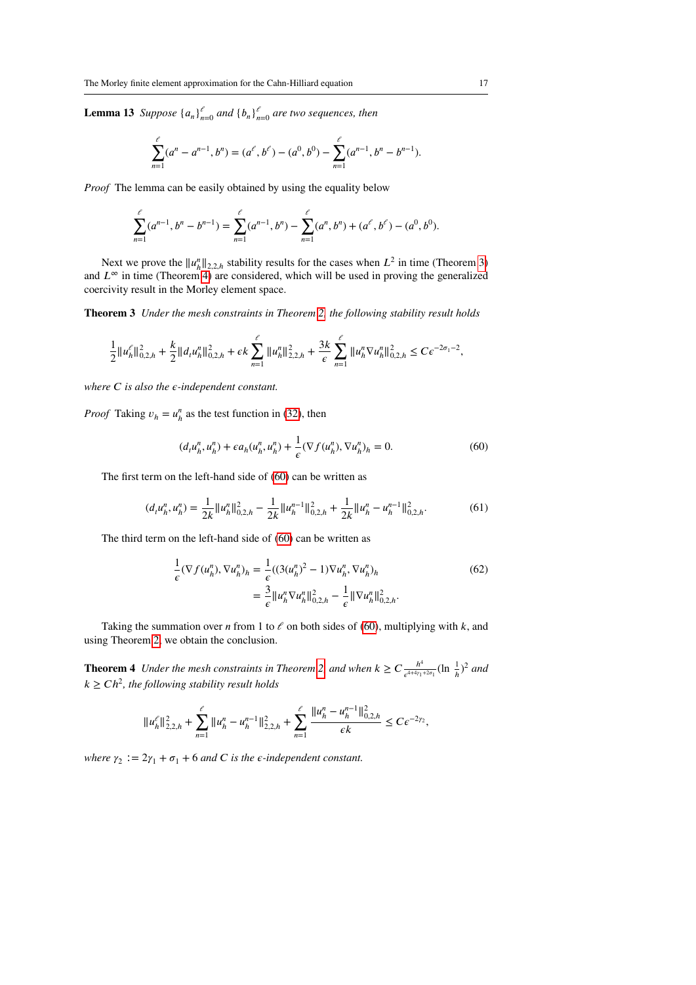**Lemma 13** *Suppose*  $\{a_n\}_{n=0}^{\ell}$  *and*  $\{b_n\}_{n=0}^{\ell}$  *are two sequences, then* 

$$
\sum_{n=1}^{\ell} (a^n - a^{n-1}, b^n) = (a^{\ell}, b^{\ell}) - (a^0, b^0) - \sum_{n=1}^{\ell} (a^{n-1}, b^n - b^{n-1}).
$$

*Proof* The lemma can be easily obtained by using the equality below

<span id="page-16-0"></span>
$$
\sum_{n=1}^{\ell} (a^{n-1}, b^n - b^{n-1}) = \sum_{n=1}^{\ell} (a^{n-1}, b^n) - \sum_{n=1}^{\ell} (a^n, b^n) + (a^{\ell}, b^{\ell}) - (a^0, b^0).
$$

Next we prove the  $||u_h^n||_{2,2,h}$  stability results for the cases when  $L^2$  in time (Theorem [3\)](#page-16-0) and  $L^\infty$  in time (Theorem [4\)](#page-16-1) are considered, which will be used in proving the generalized coercivity result in the Morley element space.

**Theorem 3** *Under the mesh constraints in Theorem [2,](#page-13-4) the following stability result holds*

$$
\frac{1}{2}||u_h^{\ell}||_{0,2,h}^2 + \frac{k}{2}||d_t u_h^n||_{0,2,h}^2 + \epsilon k \sum_{n=1}^{\ell} ||u_h^n||_{2,2,h}^2 + \frac{3k}{\epsilon} \sum_{n=1}^{\ell} ||u_h^n \nabla u_h^n||_{0,2,h}^2 \le C\epsilon^{-2\sigma_1 - 2},
$$

*where*  $C$  *is also the*  $\epsilon$ -*independent constant.* 

*Proof* Taking  $v_h = u_h^n$  as the test function in [\(32\)](#page-8-0), then

<span id="page-16-2"></span>
$$
(d_t u_h^n, u_h^n) + \epsilon a_h(u_h^n, u_h^n) + \frac{1}{\epsilon} (\nabla f(u_h^n), \nabla u_h^n)_h = 0.
$$
 (60)

The first term on the left-hand side of [\(60\)](#page-16-2) can be written as

$$
(d_t u_h^n, u_h^n) = \frac{1}{2k} ||u_h^n||_{0,2,h}^2 - \frac{1}{2k} ||u_h^{n-1}||_{0,2,h}^2 + \frac{1}{2k} ||u_h^n - u_h^{n-1}||_{0,2,h}^2. \tag{61}
$$

The third term on the left-hand side of [\(60\)](#page-16-2) can be written as

$$
\frac{1}{\epsilon}(\nabla f(u_h^n), \nabla u_h^n)_h = \frac{1}{\epsilon}((3(u_h^n)^2 - 1)\nabla u_h^n, \nabla u_h^n)_h
$$
\n
$$
= \frac{3}{\epsilon} ||u_h^n \nabla u_h^n||_{0,2,h}^2 - \frac{1}{\epsilon} ||\nabla u_h^n||_{0,2,h}^2.
$$
\n(62)

Taking the summation over *n* from 1 to  $\ell$  on both sides of [\(60\)](#page-16-2), multiplying with  $k$ , and using Theorem [2,](#page-13-4) we obtain the conclusion.

<span id="page-16-1"></span>**Theorem 4** *Under the mesh constraints in Theorem [2,](#page-13-4) and when*  $k \ge C \frac{h^4}{e^{44\gamma k}}$  $\frac{h^4}{e^{4+4\gamma_1+2\sigma_1}}(\ln \frac{1}{h})^2$  and  $k \geq C h^2$ , the following stability result holds

$$
\|u_h^{\ell}\|_{2,2,h}^2+\sum_{n=1}^{\ell}\|u_h^n-u_h^{n-1}\|_{2,2,h}^2+\sum_{n=1}^{\ell}\frac{\|u_h^n-u_h^{n-1}\|_{0,2,h}^2}{\epsilon k}\leq C\epsilon^{-2\gamma_2},
$$

*where*  $\gamma_2 := 2\gamma_1 + \sigma_1 + 6$  *and C is the*  $\epsilon$ *-independent constant.*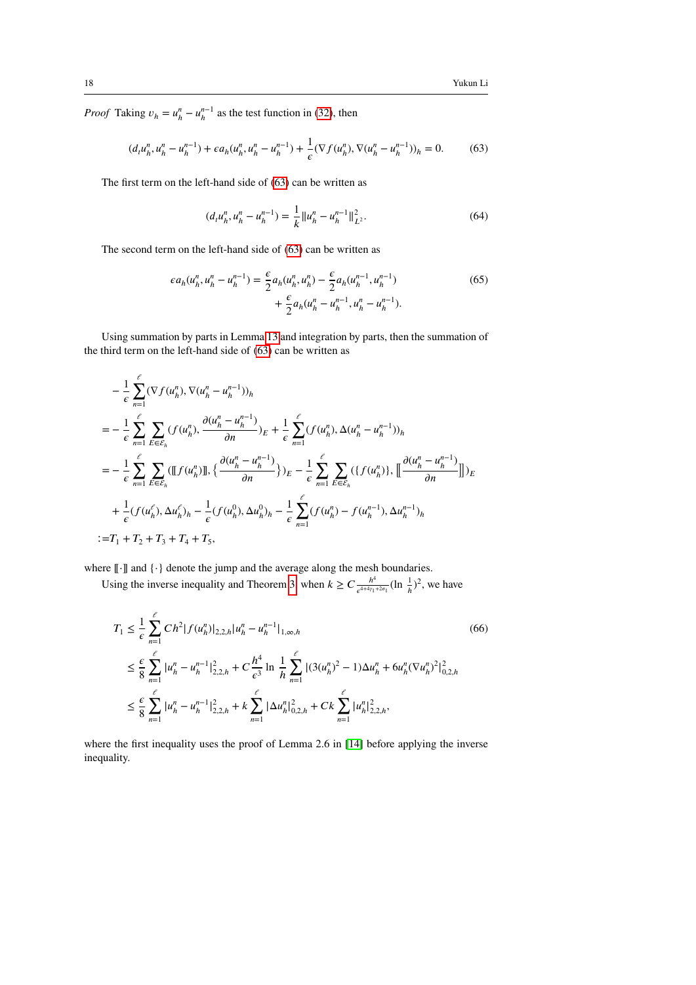*Proof* Taking  $v_h = u_h^n - u_h^{n-1}$  as the test function in [\(32\)](#page-8-0), then

$$
(d_t u_h^n, u_h^n - u_h^{n-1}) + \epsilon a_h (u_h^n, u_h^n - u_h^{n-1}) + \frac{1}{\epsilon} (\nabla f(u_h^n), \nabla (u_h^n - u_h^{n-1}))_h = 0. \tag{63}
$$

The first term on the left-hand side of [\(63\)](#page-17-0) can be written as

<span id="page-17-1"></span><span id="page-17-0"></span>
$$
(d_t u_h^n, u_h^n - u_h^{n-1}) = \frac{1}{k} ||u_h^n - u_h^{n-1}||_{L^2}^2.
$$
 (64)

The second term on the left-hand side of [\(63\)](#page-17-0) can be written as

$$
\epsilon a_h(u_h^n, u_h^n - u_h^{n-1}) = \frac{\epsilon}{2} a_h(u_h^n, u_h^n) - \frac{\epsilon}{2} a_h(u_h^{n-1}, u_h^{n-1}) + \frac{\epsilon}{2} a_h(u_h^n - u_h^{n-1}, u_h^n - u_h^{n-1}).
$$
\n(65)

Using summation by parts in Lemma [13](#page-15-0) and integration by parts, then the summation of the third term on the left-hand side of [\(63\)](#page-17-0) can be written as

$$
-\frac{1}{\epsilon} \sum_{n=1}^{\ell} (\nabla f(u_h^n), \nabla (u_h^n - u_h^{n-1}))_h
$$
  
\n
$$
= -\frac{1}{\epsilon} \sum_{n=1}^{\ell} \sum_{E \in \mathcal{E}_h} (f(u_h^n), \frac{\partial (u_h^n - u_h^{n-1})}{\partial n})_E + \frac{1}{\epsilon} \sum_{n=1}^{\ell} (f(u_h^n), \Delta (u_h^n - u_h^{n-1}))_h
$$
  
\n
$$
= -\frac{1}{\epsilon} \sum_{n=1}^{\ell} \sum_{E \in \mathcal{E}_h} (\llbracket f(u_h^n) \rrbracket, \{\frac{\partial (u_h^n - u_h^{n-1})}{\partial n}\} \Epsilon - \frac{1}{\epsilon} \sum_{n=1}^{\ell} \sum_{E \in \mathcal{E}_h} (\{f(u_h^n)\}, \llbracket \frac{\partial (u_h^n - u_h^{n-1})}{\partial n} \rrbracket) \Epsilon
$$
  
\n
$$
+ \frac{1}{\epsilon} (f(u_h^n), \Delta u_h^{\ell})_h - \frac{1}{\epsilon} (f(u_h^0), \Delta u_h^0)_h - \frac{1}{\epsilon} \sum_{n=1}^{\ell} (f(u_h^n) - f(u_h^{n-1}), \Delta u_h^{n-1})_h
$$
  
\n
$$
:= T_1 + T_2 + T_3 + T_4 + T_5,
$$

where [[⋅]] and {⋅} denote the jump and the average along the mesh boundaries.

Using the inverse inequality and Theorem [3,](#page-16-0) when  $k \geq C \frac{h^4}{a^{4+4\gamma}}$  $\frac{h^4}{e^{4+4\gamma_1+2\sigma_1}}$  (ln  $\frac{1}{h}$ )<sup>2</sup>, we have

$$
T_{1} \leq \frac{1}{\epsilon} \sum_{n=1}^{\ell} Ch^{2} |f(u_{h}^{n})|_{2,2,h} |u_{h}^{n} - u_{h}^{n-1}|_{1,\infty,h}
$$
\n
$$
\leq \frac{\epsilon}{8} \sum_{n=1}^{\ell} |u_{h}^{n} - u_{h}^{n-1}|_{2,2,h}^{2} + C \frac{h^{4}}{\epsilon^{3}} \ln \frac{1}{h} \sum_{n=1}^{\ell} |(3(u_{h}^{n})^{2} - 1)\Delta u_{h}^{n} + 6u_{h}^{n}(\nabla u_{h}^{n})^{2}|_{0,2,h}^{2}
$$
\n
$$
\leq \frac{\epsilon}{8} \sum_{n=1}^{\ell} |u_{h}^{n} - u_{h}^{n-1}|_{2,2,h}^{2} + k \sum_{n=1}^{\ell} |\Delta u_{h}^{n}|_{0,2,h}^{2} + Ck \sum_{n=1}^{\ell} |u_{h}^{n}|_{2,2,h}^{2},
$$
\n(66)

where the first inequality uses the proof of Lemma 2.6 in [\[14\]](#page-29-0) before applying the inverse inequality.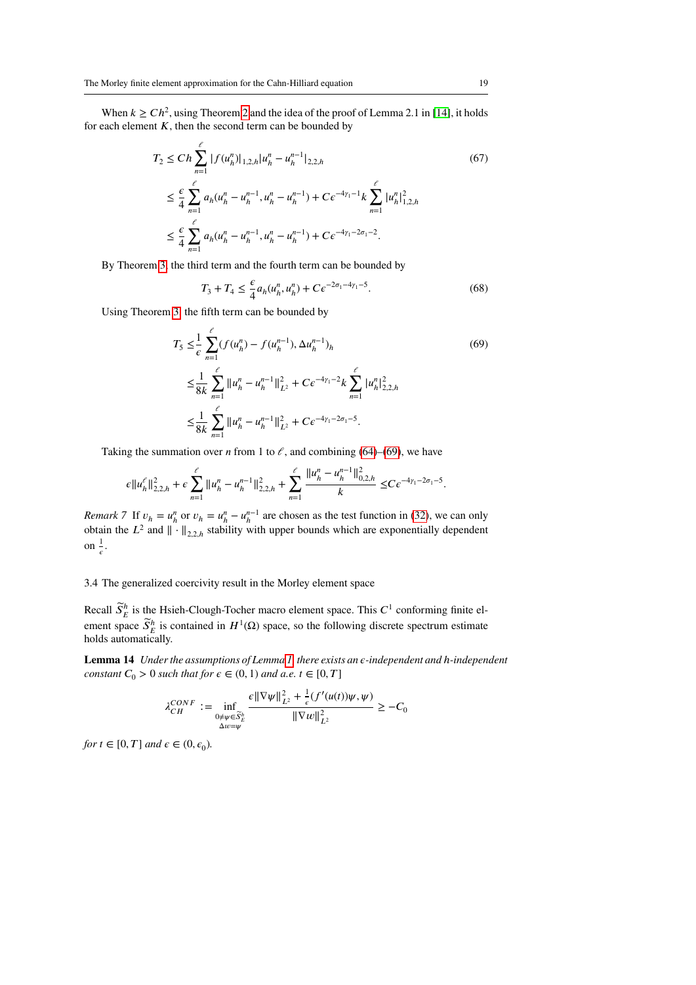When  $k \geq C h^2$ , using Theorem [2](#page-13-4) and the idea of the proof of Lemma 2.1 in [\[14\]](#page-29-0), it holds for each element  $K$ , then the second term can be bounded by

$$
T_2 \le C h \sum_{n=1}^{\ell} |f(u_h^n)|_{1,2,h} |u_h^n - u_h^{n-1}|_{2,2,h}
$$
\n
$$
\le \frac{\epsilon}{4} \sum_{n=1}^{\ell} a_h (u_h^n - u_h^{n-1}, u_h^n - u_h^{n-1}) + C \epsilon^{-4\gamma_1 - 1} k \sum_{n=1}^{\ell} |u_h^n|_{1,2,h}^2
$$
\n
$$
\le \frac{\epsilon}{4} \sum_{n=1}^{\ell} a_h (u_h^n - u_h^{n-1}, u_h^n - u_h^{n-1}) + C \epsilon^{-4\gamma_1 - 2\sigma_1 - 2}.
$$
\n(67)

By Theorem [3,](#page-16-0) the third term and the fourth term can be bounded by

<span id="page-18-0"></span>
$$
T_3 + T_4 \le \frac{\epsilon}{4} a_h(u_h^n, u_h^n) + C \epsilon^{-2\sigma_1 - 4\gamma_1 - 5}.
$$
 (68)

Using Theorem [3,](#page-16-0) the fifth term can be bounded by

$$
T_5 \leq \frac{1}{\epsilon} \sum_{n=1}^{\ell} (f(u_h^n) - f(u_h^{n-1}), \Delta u_h^{n-1})_h
$$
\n
$$
\leq \frac{1}{8k} \sum_{n=1}^{\ell} ||u_h^n - u_h^{n-1}||_{L^2}^2 + C\epsilon^{-4\gamma_1 - 2} k \sum_{n=1}^{\ell} |u_h^n|_{2,2,h}^2
$$
\n
$$
\leq \frac{1}{8k} \sum_{n=1}^{\ell} ||u_h^n - u_h^{n-1}||_{L^2}^2 + C\epsilon^{-4\gamma_1 - 2\sigma_1 - 5}.
$$
\n(69)

Taking the summation over *n* from 1 to  $\ell$ , and combining [\(64\)](#page-17-1)–[\(69\)](#page-18-0), we have

$$
\epsilon \|u_{h}^{\ell}\|_{2,2,h}^{2} + \epsilon \sum_{n=1}^{\ell} \|u_{h}^{n} - u_{h}^{n-1}\|_{2,2,h}^{2} + \sum_{n=1}^{\ell} \frac{\|u_{h}^{n} - u_{h}^{n-1}\|_{0,2,h}^{2}}{k} \leq C \epsilon^{-4\gamma_{1} - 2\sigma_{1} - 5}.
$$

*Remark 7* If  $v_h = u_h^n$  or  $v_h = u_h^{n-1}$  are chosen as the test function in [\(32\)](#page-8-0), we can only obtain the  $L^2$  and  $\|\cdot\|_{2,2,h}$  stability with upper bounds which are exponentially dependent on  $\frac{1}{2}$  $\frac{1}{\epsilon}$ .

## 3.4 The generalized coercivity result in the Morley element space

Recall  $\widetilde{S}_E^h$  is the Hsieh-Clough-Tocher macro element space. This  $C^1$  conforming finite element space  $\widetilde{S}_E^h$  is contained in  $H^1(\Omega)$  space, so the following discrete spectrum estimate holds automatically.

<span id="page-18-1"></span>**Lemma 14** *Under the assumptions of Lemma [1,](#page-4-2) there exists an 𝜖-independent and ℎ-independent constant*  $C_0 > 0$  *such that for*  $\epsilon \in (0, 1)$  *and a.e.*  $t \in [0, T]$ 

$$
\lambda_{CH}^{CONF} := \inf_{\substack{0 \neq \psi \in \widetilde{S}_E^h \\ \Delta w = \psi}} \frac{\epsilon \|\nabla \psi\|_{L^2}^2 + \frac{1}{\epsilon} (f'(u(t)) \psi, \psi)}{\|\nabla w\|_{L^2}^2} \geq -C_0
$$

*for*  $t \in [0, T]$  and  $\epsilon \in (0, \epsilon_0)$ *.*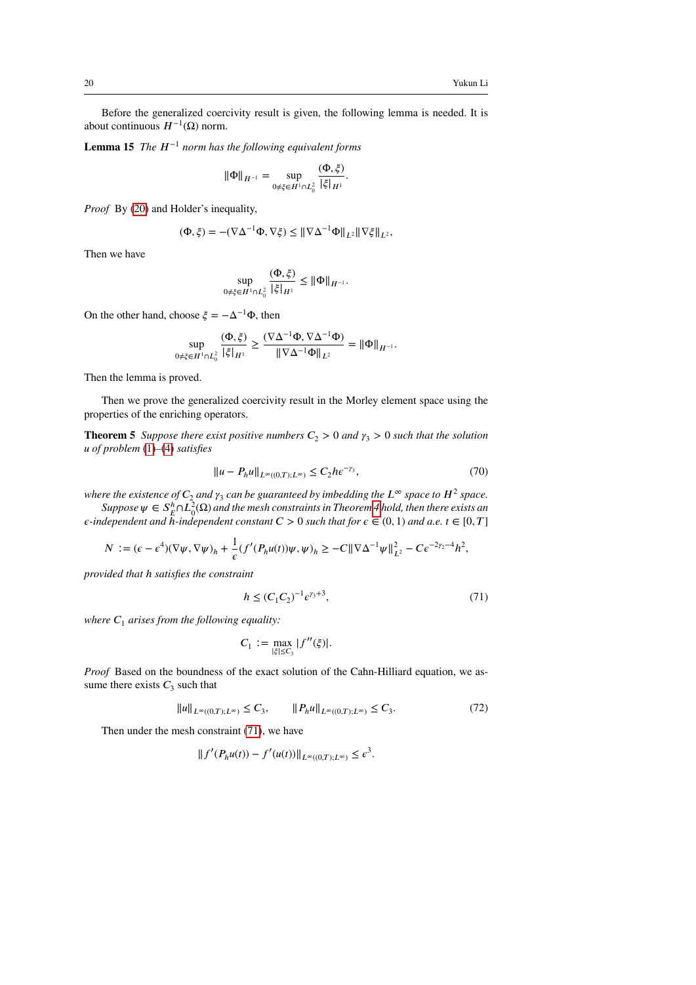Before the generalized coercivity result is given, the following lemma is needed. It is about continuous  $H^{-1}(\Omega)$  norm.

**Lemma 15** *The*  $H^{-1}$  *norm has the following equivalent forms* 

<span id="page-19-1"></span>
$$
\|\Phi\|_{H^{-1}} = \sup_{0 \neq \xi \in H^1 \cap L_0^2} \frac{(\Phi, \xi)}{|\xi|_{H^1}}.
$$

*Proof* By [\(20\)](#page-5-0) and Holder's inequality,

$$
(\Phi,\xi) = -(\nabla \Delta^{-1}\Phi, \nabla \xi) \leq \|\nabla \Delta^{-1}\Phi\|_{L^2} \|\nabla \xi\|_{L^2},
$$

Then we have

$$
\sup_{0 \neq \xi \in H^1 \cap L_0^2} \frac{(\Phi, \xi)}{|\xi|_{H^1}} \le \|\Phi\|_{H^{-1}}.
$$

On the other hand, choose  $\zeta = -\Delta^{-1}\Phi$ , then

$$
\sup_{0 \neq \xi \in H^1 \cap L_0^2} \frac{(\Phi, \xi)}{|\xi|_{H^1}} \geq \frac{(\nabla \Delta^{-1} \Phi, \nabla \Delta^{-1} \Phi)}{\|\nabla \Delta^{-1} \Phi\|_{L^2}} = \|\Phi\|_{H^{-1}}.
$$

Then the lemma is proved.

Then we prove the generalized coercivity result in the Morley element space using the properties of the enriching operators.

**Theorem 5** *Suppose there exist positive numbers*  $C_2 > 0$  *and*  $\gamma_3 > 0$  *such that the solution 𝑢 of problem* [\(1\)](#page-1-0)*–*[\(4\)](#page-1-1) *satisfies*

<span id="page-19-2"></span>
$$
||u - P_h u||_{L^{\infty}((0,T);L^{\infty})} \le C_2 h \epsilon^{-\gamma_3},
$$
\n(70)

where the existence of  $C_2$  and  $\gamma_3$  can be guaranteed by imbedding the  $L^\infty$  space to  $H^2$  space.

 $Suppose \, \psi \in S_E^h \cap L^2_0(\Omega)$  and the mesh constraints in Theorem [4](#page-16-1) hold, then there exists an  $\epsilon$ -independent and  $\bar{h}$ -independent constant  $C > 0$  such that for  $\epsilon \in (0, 1)$  and  $a.e.$   $t \in [0, T]$ 

$$
N := (\epsilon - \epsilon^4)(\nabla \psi, \nabla \psi)_h + \frac{1}{\epsilon} (f'(P_h u(t))\psi, \psi)_h \geq -C \|\nabla \Delta^{-1} \psi\|_{L^2}^2 - C \epsilon^{-2\gamma_2 - 4} h^2,
$$

*provided that ℎ satisfies the constraint*

<span id="page-19-0"></span>
$$
h \le (C_1 C_2)^{-1} \epsilon^{\gamma_3 + 3},\tag{71}
$$

*where*  $C_1$  *arises from the following equality:* 

$$
C_1 := \max_{|\xi| \le C_3} |f''(\xi)|.
$$

*Proof* Based on the boundness of the exact solution of the Cahn-Hilliard equation, we assume there exists  $C_3$  such that

$$
||u||_{L^{\infty}((0,T);L^{\infty})} \leq C_3, \qquad ||P_h u||_{L^{\infty}((0,T);L^{\infty})} \leq C_3.
$$
 (72)

Then under the mesh constraint [\(71\)](#page-19-0), we have

$$
||f'(P_hu(t)) - f'(u(t))||_{L^{\infty}((0,T);L^{\infty})} \leq \epsilon^3.
$$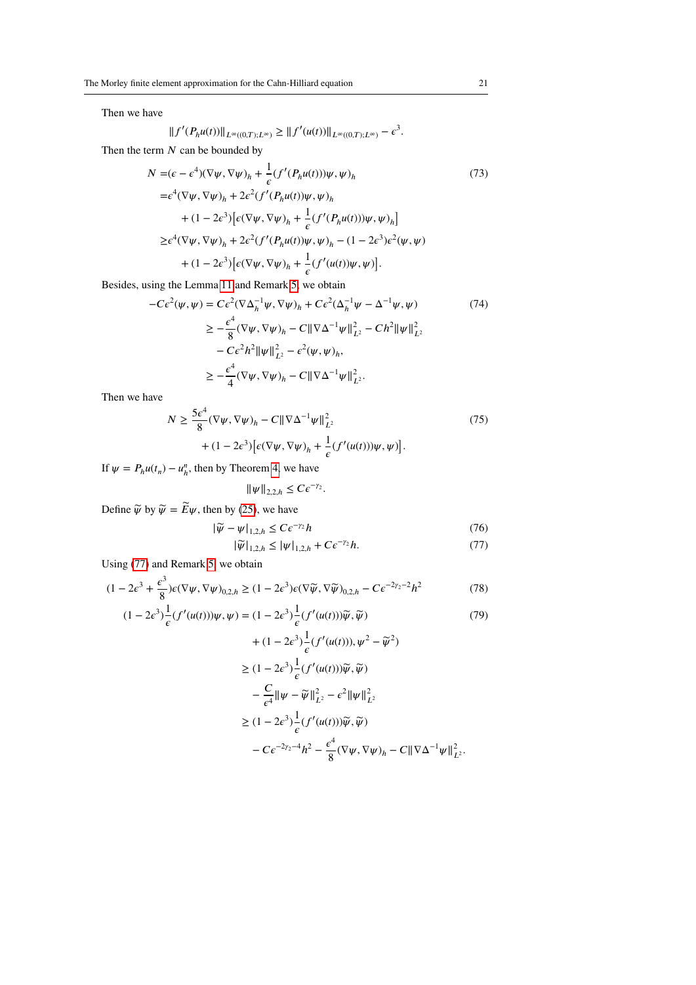Then we have

$$
||f'(P_hu(t))||_{L^{\infty}((0,T);L^{\infty})} \geq ||f'(u(t))||_{L^{\infty}((0,T);L^{\infty})} - \epsilon^3.
$$

Then the term *N* can be bounded by

$$
N = (\epsilon - \epsilon^4)(\nabla \psi, \nabla \psi)_h + \frac{1}{\epsilon} (f'(P_h u(t)))\psi, \psi)_h
$$
\n
$$
= \epsilon^4 (\nabla \psi, \nabla \psi)_h + 2\epsilon^2 (f'(P_h u(t))\psi, \psi)_h
$$
\n
$$
+ (1 - 2\epsilon^3) [\epsilon (\nabla \psi, \nabla \psi)_h + \frac{1}{\epsilon} (f'(P_h u(t)))\psi, \psi)_h]
$$
\n
$$
\geq \epsilon^4 (\nabla \psi, \nabla \psi)_h + 2\epsilon^2 (f'(P_h u(t))\psi, \psi)_h - (1 - 2\epsilon^3)\epsilon^2 (\psi, \psi)
$$
\n
$$
+ (1 - 2\epsilon^3) [\epsilon (\nabla \psi, \nabla \psi)_h + \frac{1}{\epsilon} (f'(u(t))\psi, \psi)].
$$
\n(73)

Besides, using the Lemma [11](#page-12-2) and Remark [5,](#page-13-3) we obtain

$$
-C\epsilon^2(\psi, \psi) = C\epsilon^2 (\nabla \Delta_h^{-1} \psi, \nabla \psi)_h + C\epsilon^2 (\Delta_h^{-1} \psi - \Delta^{-1} \psi, \psi)
$$
(74)  

$$
\geq -\frac{\epsilon^4}{8} (\nabla \psi, \nabla \psi)_h - C \|\nabla \Delta^{-1} \psi\|_{L^2}^2 - Ch^2 \|\psi\|_{L^2}^2
$$

$$
- C\epsilon^2 h^2 \|\psi\|_{L^2}^2 - \epsilon^2 (\psi, \psi)_h,
$$

$$
\geq -\frac{\epsilon^4}{4} (\nabla \psi, \nabla \psi)_h - C \|\nabla \Delta^{-1} \psi\|_{L^2}^2.
$$

Then we have

$$
N \ge \frac{5\epsilon^4}{8} (\nabla \psi, \nabla \psi)_h - C \|\nabla \Delta^{-1} \psi\|_{L^2}^2
$$
  
+ 
$$
(1 - 2\epsilon^3) \big[\epsilon (\nabla \psi, \nabla \psi)_h + \frac{1}{\epsilon} (f'(u(t)))\psi, \psi)\big].
$$
 (75)

If  $\psi = P_h u(t_n) - u_h^n$ , then by Theorem [4,](#page-16-1) we have

<span id="page-20-2"></span><span id="page-20-0"></span>
$$
\|\psi\|_{2,2,h} \leq C \epsilon^{-\gamma_2}.
$$

Define  $\widetilde{\psi}$  by  $\widetilde{\psi} = \widetilde{E}\psi$ , then by [\(25\)](#page-6-2), we have

$$
|\widetilde{\psi} - \psi|_{1,2,h} \le C\epsilon^{-\gamma_2}h
$$
\n(76)

<span id="page-20-1"></span>
$$
|\widetilde{\psi}|_{1,2,h} \le |\psi|_{1,2,h} + C\epsilon^{-\gamma_2}h. \tag{77}
$$

Using [\(77\)](#page-20-0) and Remark [5,](#page-13-3) we obtain

$$
(1 - 2\epsilon^3 + \frac{\epsilon^3}{8})\epsilon(\nabla\psi, \nabla\psi)_{0,2,h} \ge (1 - 2\epsilon^3)\epsilon(\nabla\widetilde{\psi}, \nabla\widetilde{\psi})_{0,2,h} - C\epsilon^{-2\gamma_2 - 2}h^2
$$
\n(78)

$$
(1 - 2\epsilon^3) \frac{1}{\epsilon} (f'(u(t)))\psi, \psi) = (1 - 2\epsilon^3) \frac{1}{\epsilon} (f'(u(t)))\widetilde{\psi}, \widetilde{\psi})
$$
(79)

+ 
$$
(1 - 2\epsilon^3) \frac{1}{\epsilon} (f'(u(t))), \psi^2 - \widetilde{\psi}^2)
$$
  
\n $\geq (1 - 2\epsilon^3) \frac{1}{\epsilon} (f'(u(t))) \widetilde{\psi}, \widetilde{\psi})$   
\n $- \frac{C}{\epsilon^4} ||\psi - \widetilde{\psi}||_{L^2}^2 - \epsilon^2 ||\psi||_{L^2}^2$   
\n $\geq (1 - 2\epsilon^3) \frac{1}{\epsilon} (f'(u(t))) \widetilde{\psi}, \widetilde{\psi})$   
\n $- C\epsilon^{-2\gamma_2 - 4} h^2 - \frac{\epsilon^4}{8} (\nabla \psi, \nabla \psi)_h - C ||\nabla \Delta^{-1} \psi||_{L^2}^2.$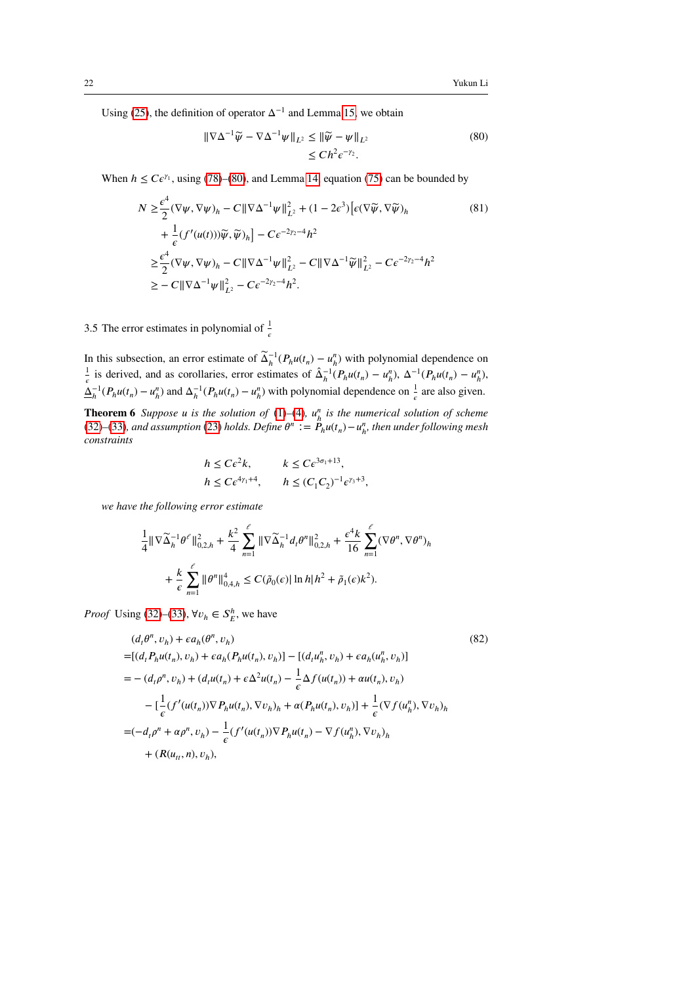Using [\(25\)](#page-6-2), the definition of operator  $\Delta^{-1}$  and Lemma [15,](#page-19-1) we obtain

<span id="page-21-0"></span>
$$
\|\nabla\Delta^{-1}\widetilde{\psi} - \nabla\Delta^{-1}\psi\|_{L^2} \le \|\widetilde{\psi} - \psi\|_{L^2}
$$
\n
$$
\le Ch^2 \epsilon^{-\gamma_2}.
$$
\n(80)

When  $h \leq C\epsilon^{\gamma_1}$ , using [\(78\)](#page-20-1)–[\(80\)](#page-21-0), and Lemma [14,](#page-18-1) equation [\(75\)](#page-20-2) can be bounded by

$$
N \geq \frac{\epsilon^{4}}{2} (\nabla \psi, \nabla \psi)_{h} - C \|\nabla \Delta^{-1} \psi\|_{L^{2}}^{2} + (1 - 2\epsilon^{3}) \left[\epsilon (\nabla \widetilde{\psi}, \nabla \widetilde{\psi})_{h}\right] + \frac{1}{\epsilon} (f'(u(t))) \widetilde{\psi}, \widetilde{\psi})_{h} \left] - C \epsilon^{-2\gamma_{2} - 4} h^{2} \geq \frac{\epsilon^{4}}{2} (\nabla \psi, \nabla \psi)_{h} - C \|\nabla \Delta^{-1} \psi\|_{L^{2}}^{2} - C \|\nabla \Delta^{-1} \widetilde{\psi}\|_{L^{2}}^{2} - C \epsilon^{-2\gamma_{2} - 4} h^{2} \geq - C \|\nabla \Delta^{-1} \psi\|_{L^{2}}^{2} - C \epsilon^{-2\gamma_{2} - 4} h^{2}.
$$
\n
$$
(81)
$$

# 3.5 The error estimates in polynomial of  $\frac{1}{\epsilon}$

In this subsection, an error estimate of  $\tilde{\Delta}_h^{-1}(P_h u(t_n) - u_h^n)$  with polynomial dependence on 1  $\frac{1}{\epsilon}$  is derived, and as corollaries, error estimates of  $\hat{\Delta}_h^{-1}(P_h u(t_n) - u_h^n)$ ,  $\Delta^{-1}(P_h u(t_n) - u_h^n)$ ,  $\underline{\Delta}_h^{-1}(P_h u(t_n) - u_h^n)$  and  $\Delta_h^{-1}(P_h u(t_n) - u_h^n)$  with polynomial dependence on  $\frac{1}{\epsilon}$  are also given.

**Theorem 6** *Suppose u is the solution of* [\(1\)](#page-1-0)–[\(4\)](#page-1-1)*,*  $u^n_h$  *is the numerical solution of scheme* [\(32\)](#page-8-0)–[\(33\)](#page-8-1), and assumption [\(23\)](#page-6-0) holds. Define  $\theta^n := \ddot{P}_h u(t_n) - u_h^n$ , then under following mesh *constraints*

<span id="page-21-2"></span><span id="page-21-1"></span>
$$
h \leq Ce^2k, \qquad k \leq Ce^{3\sigma_1+13},
$$
  
\n
$$
h \leq Ce^{4\gamma_1+4}, \qquad h \leq (C_1C_2)^{-1}e^{\gamma_3+3},
$$

*we have the following error estimate*

$$
\frac{1}{4} \|\nabla \widetilde{\Delta}_{h}^{-1} \theta^{\ell} \|_{0,2,h}^{2} + \frac{k^{2}}{4} \sum_{n=1}^{\ell} \|\nabla \widetilde{\Delta}_{h}^{-1} d_{t} \theta^{n} \|_{0,2,h}^{2} + \frac{\epsilon^{4} k}{16} \sum_{n=1}^{\ell} (\nabla \theta^{n}, \nabla \theta^{n})_{h}
$$

$$
+ \frac{k}{\epsilon} \sum_{n=1}^{\ell} \|\theta^{n} \|_{0,4,h}^{4} \leq C(\widetilde{\rho}_{0}(\epsilon) |\ln h| h^{2} + \widetilde{\rho}_{1}(\epsilon) k^{2}).
$$

*Proof* Using [\(32\)](#page-8-0)–[\(33\)](#page-8-1),  $\forall v_h \in S_E^h$ , we have

$$
(d_t \theta^n, v_h) + \epsilon a_h(\theta^n, v_h)
$$
\n
$$
= [(d_t P_h u(t_n), v_h) + \epsilon a_h (P_h u(t_n), v_h)] - [(d_t u_h^n, v_h) + \epsilon a_h (u_h^n, v_h)]
$$
\n
$$
= -(d_t \rho^n, v_h) + (d_t u(t_n) + \epsilon \Delta^2 u(t_n) - \frac{1}{\epsilon} \Delta f(u(t_n)) + \alpha u(t_n), v_h)
$$
\n
$$
- [\frac{1}{\epsilon} (f'(u(t_n)) \nabla P_h u(t_n), \nabla v_h)_h + \alpha (P_h u(t_n), v_h)] + \frac{1}{\epsilon} (\nabla f(u_h^n), \nabla v_h)_h
$$
\n
$$
= (-d_t \rho^n + \alpha \rho^n, v_h) - \frac{1}{\epsilon} (f'(u(t_n)) \nabla P_h u(t_n) - \nabla f(u_h^n), \nabla v_h)_h
$$
\n
$$
+ (R(u_t, n), v_h),
$$
\n
$$
(82)
$$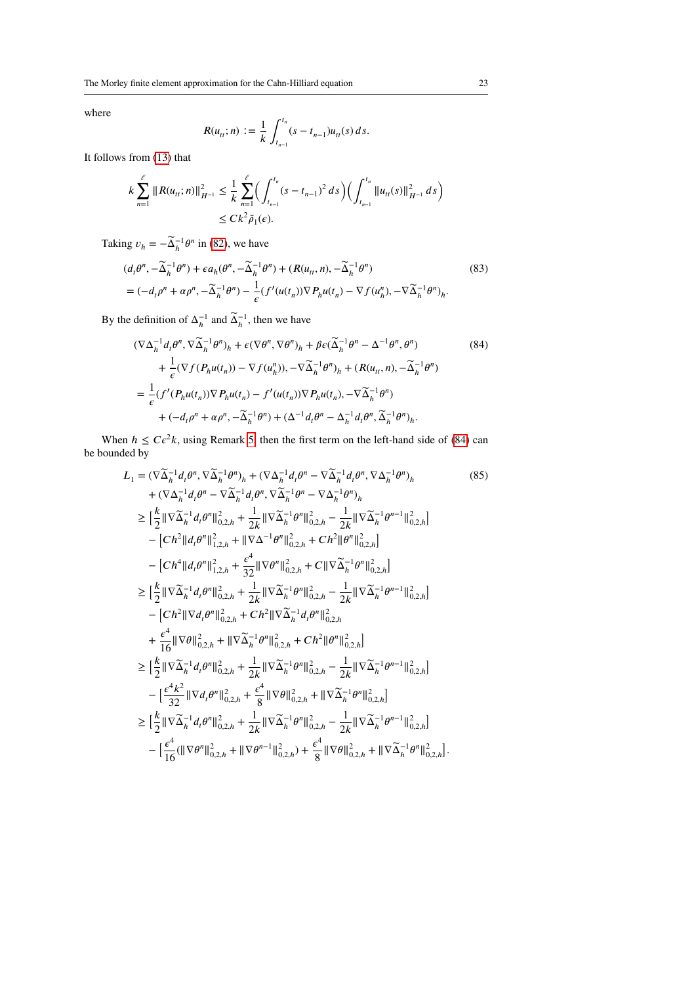where

$$
R(u_{tt}; n) := \frac{1}{k} \int_{t_{n-1}}^{t_n} (s - t_{n-1}) u_{tt}(s) \, ds.
$$

It follows from [\(13\)](#page-4-3) that

$$
k\sum_{n=1}^{\ell} ||R(u_{tt};n)||_{H^{-1}}^2 \leq \frac{1}{k} \sum_{n=1}^{\ell} \left( \int_{t_{n-1}}^{t_n} (s-t_{n-1})^2 ds \right) \left( \int_{t_{n-1}}^{t_n} ||u_{tt}(s)||_{H^{-1}}^2 ds \right)
$$
  

$$
\leq C k^2 \tilde{\rho}_1(\epsilon).
$$

Taking  $v_h = -\tilde{\Delta}_h^{-1} \theta^n$  in [\(82\)](#page-21-1), we have

$$
(d_t \theta^n, -\widetilde{\Delta}_h^{-1} \theta^n) + \epsilon a_h (\theta^n, -\widetilde{\Delta}_h^{-1} \theta^n) + (R(u_{tt}, n), -\widetilde{\Delta}_h^{-1} \theta^n)
$$
  
=  $(-d_t \rho^n + \alpha \rho^n, -\widetilde{\Delta}_h^{-1} \theta^n) - \frac{1}{\epsilon} (f'(u(t_n)) \nabla P_h u(t_n) - \nabla f(u_h^n), -\nabla \widetilde{\Delta}_h^{-1} \theta^n)_h.$  (83)

By the definition of  $\Delta_h^{-1}$  and  $\widetilde{\Delta}_h^{-1}$ , then we have

<span id="page-22-0"></span>
$$
(\nabla \Delta_h^{-1} d_t \theta^n, \nabla \widetilde{\Delta}_h^{-1} \theta^n)_h + \epsilon (\nabla \theta^n, \nabla \theta^n)_h + \beta \epsilon (\widetilde{\Delta}_h^{-1} \theta^n - \Delta^{-1} \theta^n, \theta^n)
$$
(84)  
+ 
$$
\frac{1}{\epsilon} (\nabla f(P_h u(t_n)) - \nabla f(u_n^n)), -\nabla \widetilde{\Delta}_h^{-1} \theta^n)_h + (R(u_n, n), -\widetilde{\Delta}_h^{-1} \theta^n)
$$
  
= 
$$
\frac{1}{\epsilon} (f'(P_h u(t_n)) \nabla P_h u(t_n) - f'(u(t_n)) \nabla P_h u(t_n), -\nabla \widetilde{\Delta}_h^{-1} \theta^n)
$$
  
+ 
$$
(-d_t \rho^n + \alpha \rho^n, -\widetilde{\Delta}_h^{-1} \theta^n) + (\Delta^{-1} d_t \theta^n - \Delta_h^{-1} d_t \theta^n, \widetilde{\Delta}_h^{-1} \theta^n)_h.
$$

When  $h \leq C\varepsilon^2 k$ , using Remark [5,](#page-13-3) then the first term on the left-hand side of [\(84\)](#page-22-0) can be bounded by

<span id="page-22-1"></span>
$$
L_{1} = (\nabla \widetilde{\Delta}_{h}^{-1} d_{t} \theta^{n}, \nabla \widetilde{\Delta}_{h}^{-1} \theta^{n})_{h} + (\nabla \Delta_{h}^{-1} d_{t} \theta^{n} - \nabla \widetilde{\Delta}_{h}^{-1} d_{t} \theta^{n}, \nabla \Delta_{h}^{-1} \theta^{n})_{h} + (\nabla \Delta_{h}^{-1} d_{t} \theta^{n} - \nabla \widetilde{\Delta}_{h}^{-1} d_{t} \theta^{n}, \nabla \widetilde{\Delta}_{h}^{-1} \theta^{n} - \nabla \Delta_{h}^{-1} \theta^{n})_{h} \n\geq \left[ \frac{k}{2} \|\nabla \widetilde{\Delta}_{h}^{-1} d_{t} \theta^{n} \|_{0,2,h}^{2} + \frac{1}{2k} \|\nabla \widetilde{\Delta}_{h}^{-1} \theta^{n} \|_{0,2,h}^{2} - \frac{1}{2k} \|\nabla \widetilde{\Delta}_{h}^{-1} \theta^{n-1} \|_{0,2,h}^{2} \right] \n- [Ch^{2} || d_{t} \theta^{n} ||_{1,2,h}^{2} + \|\nabla \Delta^{-1} \theta^{n} \|_{0,2,h}^{2} + Ch^{2} || \theta^{n} ||_{0,2,h}^{2} \right] \n- [Ch^{4} || d_{t} \theta^{n} ||_{1,2,h}^{2} + \frac{\epsilon^{4}}{32} \|\nabla \theta^{n} ||_{0,2,h}^{2} + C || \nabla \widetilde{\Delta}_{h}^{-1} \theta^{n} ||_{0,2,h}^{2} \right] \n\geq \left[ \frac{k}{2} \|\nabla \widetilde{\Delta}_{h}^{-1} d_{t} \theta^{n} \|_{0,2,h}^{2} + \frac{1}{2k} \|\nabla \widetilde{\Delta}_{h}^{-1} \theta^{n} \|_{0,2,h}^{2} - \frac{1}{2k} \|\nabla \widetilde{\Delta}_{h}^{-1} \theta^{n-1} \|_{0,2,h}^{2} \right] \n- [Ch^{2} || \nabla d_{t} \theta^{n} ||_{0,2,h}^{2} + Ch^{2} || \nabla \widetilde{\Delta}_{h}^{-1} d_{t} \theta^{n} ||_{0,2,h}^{2} \right] \n+ \frac{\epsilon^{
$$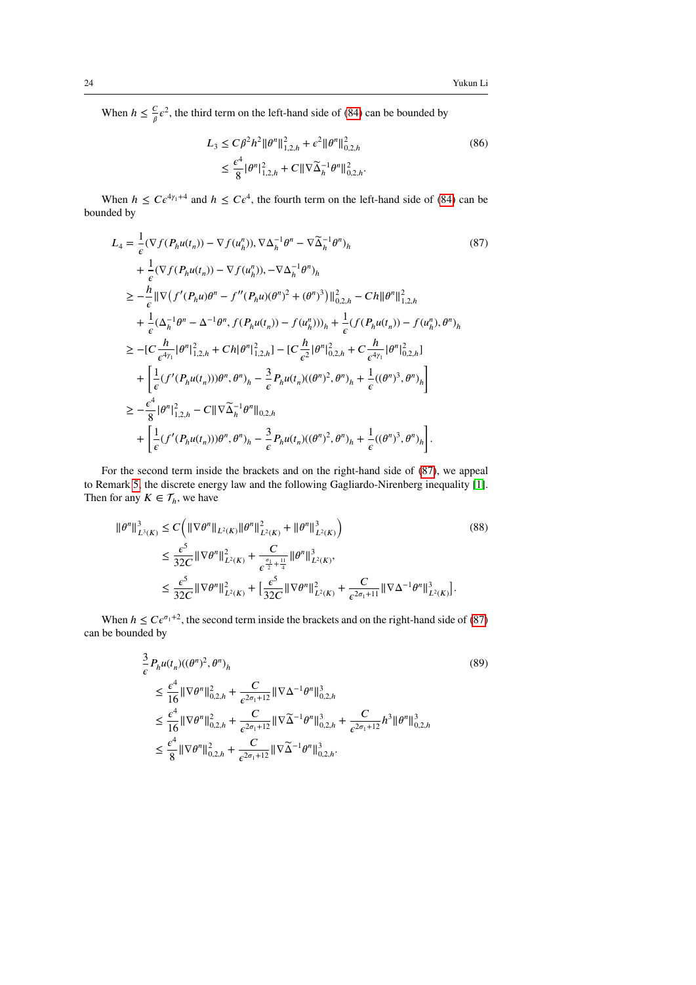When  $h \leq \frac{C}{a}$  $\frac{C}{\beta}e^2$ , the third term on the left-hand side of [\(84\)](#page-22-0) can be bounded by

<span id="page-23-0"></span>
$$
L_3 \le C \beta^2 h^2 \| \theta^n \|_{1,2,h}^2 + \epsilon^2 \| \theta^n \|_{0,2,h}^2
$$
  
\n
$$
\le \frac{\epsilon^4}{8} |\theta^n|_{1,2,h}^2 + C \| \nabla \widetilde{\Delta}_h^{-1} \theta^n \|_{0,2,h}^2.
$$
\n(86)

When  $h \leq C \epsilon^{4\gamma_1+4}$  and  $h \leq C \epsilon^4$ , the fourth term on the left-hand side of [\(84\)](#page-22-0) can be bounded by

$$
L_{4} = \frac{1}{\epsilon} (\nabla f(P_{h}u(t_{n})) - \nabla f(u_{h}^{n})), \nabla \Delta_{h}^{-1}\theta^{n} - \nabla \widetilde{\Delta}_{h}^{-1}\theta^{n})_{h}
$$
(87)  
+  $\frac{1}{\epsilon} (\nabla f(P_{h}u(t_{n})) - \nabla f(u_{h}^{n})), -\nabla \Delta_{h}^{-1}\theta^{n})_{h}$   
 $\geq -\frac{h}{\epsilon} || \nabla (f'(P_{h}u)\theta^{n} - f''(P_{h}u)(\theta^{n})^{2} + (\theta^{n})^{3}) ||_{0,2,h}^{2} - Ch ||\theta^{n}||_{1,2,h}^{2}$   
+  $\frac{1}{\epsilon} (\Delta_{h}^{-1}\theta^{n} - \Delta^{-1}\theta^{n}, f(P_{h}u(t_{n})) - f(u_{h}^{n})))_{h} + \frac{1}{\epsilon} (f(P_{h}u(t_{n})) - f(u_{h}^{n}), \theta^{n})_{h}$   
 $\geq -[C\frac{h}{\epsilon^{4\gamma_{1}}}|\theta^{n}|_{1,2,h}^{2} + Ch |\theta^{n}|_{1,2,h}^{2}] - [C\frac{h}{\epsilon^{2}}|\theta^{n}|_{0,2,h}^{2} + C\frac{h}{\epsilon^{4\gamma_{1}}}|\theta^{n}|_{0,2,h}^{2}]$   
+  $\left[\frac{1}{\epsilon} (f'(P_{h}u(t_{n})))\theta^{n}, \theta^{n})_{h} - \frac{3}{\epsilon} P_{h}u(t_{n})((\theta^{n})^{2}, \theta^{n})_{h} + \frac{1}{\epsilon} ((\theta^{n})^{3}, \theta^{n})_{h}\right]$   
 $\geq -\frac{\epsilon^{4}}{8} |\theta^{n}|_{1,2,h}^{2} - C || \nabla \widetilde{\Delta}_{h}^{-1}\theta^{n}||_{0,2,h}$   
+  $\left[\frac{1}{\epsilon} (f'(P_{h}u(t_{n})))\theta^{n}, \theta^{n})_{h} - \frac{3}{\epsilon} P_{h}u(t_{n})((\theta^{n})^{2}, \theta^{n})_{h} + \frac{1}{\epsilon} ((\theta^{n})^{3}, \theta^{n})_{h}\right].$ 

For the second term inside the brackets and on the right-hand side of [\(87\)](#page-23-0), we appeal to Remark [5,](#page-13-3) the discrete energy law and the following Gagliardo-Nirenberg inequality [\[1\]](#page-29-17). Then for any  $K \in \mathcal{T}_h$ , we have

$$
\|\theta^{n}\|_{L^{3}(K)}^{3} \leq C \Big( \|\nabla \theta^{n}\|_{L^{2}(K)} \|\theta^{n}\|_{L^{2}(K)}^{2} + \|\theta^{n}\|_{L^{2}(K)}^{3} \Big)
$$
\n
$$
\leq \frac{\epsilon^{5}}{32C} \|\nabla \theta^{n}\|_{L^{2}(K)}^{2} + \frac{C}{\epsilon^{\frac{\sigma_{1}}{2} + \frac{11}{4}}} \|\theta^{n}\|_{L^{2}(K)}^{3},
$$
\n
$$
\leq \frac{\epsilon^{5}}{32C} \|\nabla \theta^{n}\|_{L^{2}(K)}^{2} + \left[\frac{\epsilon^{5}}{32C} \|\nabla \theta^{n}\|_{L^{2}(K)}^{2} + \frac{C}{\epsilon^{2\sigma_{1}+11}} \|\nabla \Delta^{-1} \theta^{n}\|_{L^{2}(K)}^{3} \Big).
$$
\n
$$
(88)
$$

When  $h \leq C \epsilon^{\sigma_1+2}$ , the second term inside the brackets and on the right-hand side of [\(87\)](#page-23-0) can be bounded by

$$
\frac{3}{\epsilon} P_h u(t_n) ((\theta^n)^2, \theta^n)_h
$$
\n
$$
\leq \frac{\epsilon^4}{16} \|\nabla \theta^n\|_{0,2,h}^2 + \frac{C}{\epsilon^{2\sigma_1+12}} \|\nabla \Delta^{-1} \theta^n\|_{0,2,h}^3
$$
\n
$$
\leq \frac{\epsilon^4}{16} \|\nabla \theta^n\|_{0,2,h}^2 + \frac{C}{\epsilon^{2\sigma_1+12}} \|\nabla \widetilde{\Delta}^{-1} \theta^n\|_{0,2,h}^3 + \frac{C}{\epsilon^{2\sigma_1+12}} h^3 \|\theta^n\|_{0,2,h}^3
$$
\n
$$
\leq \frac{\epsilon^4}{8} \|\nabla \theta^n\|_{0,2,h}^2 + \frac{C}{\epsilon^{2\sigma_1+12}} \|\nabla \widetilde{\Delta}^{-1} \theta^n\|_{0,2,h}^3.
$$
\n(89)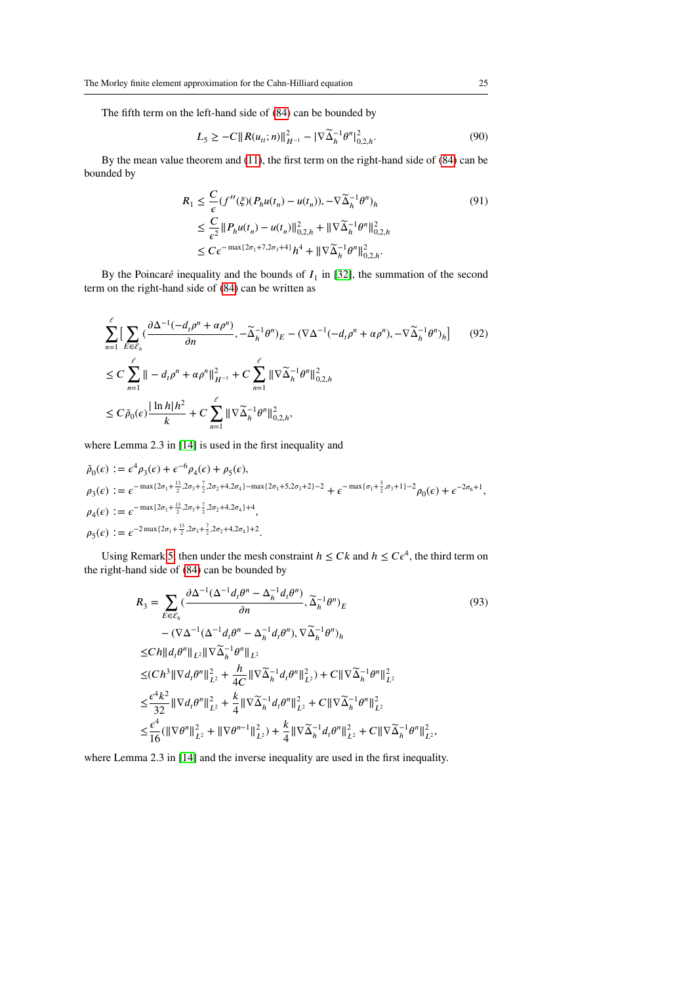The fifth term on the left-hand side of [\(84\)](#page-22-0) can be bounded by

$$
L_5 \ge -C \|R(u_{tt}; n)\|_{H^{-1}}^2 - |\nabla \widetilde{\Delta}_h^{-1} \theta^n|_{0, 2, h}^2. \tag{90}
$$

By the mean value theorem and [\(11\)](#page-4-4), the first term on the right-hand side of [\(84\)](#page-22-0) can be bounded by

$$
R_1 \leq \frac{C}{\epsilon} (f''(\xi)(P_h u(t_n) - u(t_n)), -\nabla \widetilde{\Delta}_h^{-1} \theta^n)_h
$$
  
\n
$$
\leq \frac{C}{\epsilon^2} \|P_h u(t_n) - u(t_n)\|_{0,2,h}^2 + \|\nabla \widetilde{\Delta}_h^{-1} \theta^n\|_{0,2,h}^2
$$
  
\n
$$
\leq C\epsilon^{-\max\{2\sigma_1 + 7, 2\sigma_3 + 4\}} h^4 + \|\nabla \widetilde{\Delta}_h^{-1} \theta^n\|_{0,2,h}^2.
$$
\n(91)

By the Poincaré inequality and the bounds of  $I_1$  in [\[32\]](#page-30-9), the summation of the second term on the right-hand side of [\(84\)](#page-22-0) can be written as

$$
\sum_{n=1}^{\ell} \left[ \sum_{E \in \mathcal{E}_h} \left( \frac{\partial \Delta^{-1} (-d_t \rho^n + \alpha \rho^n)}{\partial n}, -\widetilde{\Delta}_h^{-1} \theta^n \right)_E - (\nabla \Delta^{-1} (-d_t \rho^n + \alpha \rho^n), -\nabla \widetilde{\Delta}_h^{-1} \theta^n)_h \right] \tag{92}
$$
  
\n
$$
\leq C \sum_{n=1}^{\ell} || -d_t \rho^n + \alpha \rho^n ||_{H^{-1}}^2 + C \sum_{n=1}^{\ell} || \nabla \widetilde{\Delta}_h^{-1} \theta^n ||_{0,2,h}^2
$$
  
\n
$$
\leq C \widetilde{\rho}_0(\epsilon) \frac{|\ln h|h^2}{k} + C \sum_{n=1}^{\ell} || \nabla \widetilde{\Delta}_h^{-1} \theta^n ||_{0,2,h}^2,
$$

where Lemma 2.3 in [\[14\]](#page-29-0) is used in the first inequality and

$$
\tilde{\rho}_0(\epsilon) := \epsilon^4 \rho_3(\epsilon) + \epsilon^{-6} \rho_4(\epsilon) + \rho_5(\epsilon),
$$
\n
$$
\rho_3(\epsilon) := \epsilon^{-\max\{2\sigma_1 + \frac{13}{2}, 2\sigma_3 + \frac{7}{2}, 2\sigma_2 + 4, 2\sigma_4\} - \max\{2\sigma_1 + 5, 2\sigma_3 + 2\} - 2} + \epsilon^{-\max\{\sigma_1 + \frac{5}{2}, \sigma_3 + 1\} - 2} \rho_0(\epsilon) + \epsilon^{-2\sigma_6 + 1},
$$
\n
$$
\rho_4(\epsilon) := \epsilon^{-\max\{2\sigma_1 + \frac{13}{2}, 2\sigma_3 + \frac{7}{2}, 2\sigma_2 + 4, 2\sigma_4\} + 4},
$$
\n
$$
\rho_5(\epsilon) := \epsilon^{-2\max\{2\sigma_1 + \frac{13}{2}, 2\sigma_3 + \frac{7}{2}, 2\sigma_2 + 4, 2\sigma_4\} + 2}.
$$

Using Remark [5,](#page-13-3) then under the mesh constraint  $h \leq Ck$  and  $h \leq C\epsilon^4$ , the third term on the right-hand side of [\(84\)](#page-22-0) can be bounded by

<span id="page-24-0"></span>
$$
R_{3} = \sum_{E \in \mathcal{E}_{h}} (\frac{\partial \Delta^{-1}(\Delta^{-1}d_{t}\theta^{n} - \Delta_{h}^{-1}d_{t}\theta^{n})}{\partial n}, \widetilde{\Delta}_{h}^{-1}\theta^{n})_{E}
$$
(93)  
-( $\nabla \Delta^{-1}(\Delta^{-1}d_{t}\theta^{n} - \Delta_{h}^{-1}d_{t}\theta^{n})$ ,  $\nabla \widetilde{\Delta}_{h}^{-1}\theta^{n})_{h}$   

$$
\leq Ch \|d_{t}\theta^{n} \|_{L^{2}} \|\nabla \widetilde{\Delta}_{h}^{-1}\theta^{n} \|_{L^{2}}
$$
  

$$
\leq (Ch^{3} \|\nabla d_{t}\theta^{n} \|_{L^{2}}^{2} + \frac{h}{4C} \|\nabla \widetilde{\Delta}_{h}^{-1}d_{t}\theta^{n} \|_{L^{2}}^{2}) + C \|\nabla \widetilde{\Delta}_{h}^{-1}\theta^{n} \|_{L^{2}}^{2}
$$
  

$$
\leq \frac{\epsilon^{4} k^{2}}{32} \|\nabla d_{t}\theta^{n} \|_{L^{2}}^{2} + \frac{k}{4} \|\nabla \widetilde{\Delta}_{h}^{-1}d_{t}\theta^{n} \|_{L^{2}}^{2} + C \|\nabla \widetilde{\Delta}_{h}^{-1}\theta^{n} \|_{L^{2}}^{2}
$$
  

$$
\leq \frac{\epsilon^{4}}{16} (\|\nabla \theta^{n} \|_{L^{2}}^{2} + \|\nabla \theta^{n-1} \|_{L^{2}}^{2}) + \frac{k}{4} \|\nabla \widetilde{\Delta}_{h}^{-1}d_{t}\theta^{n} \|_{L^{2}}^{2} + C \|\nabla \widetilde{\Delta}_{h}^{-1}\theta^{n} \|_{L^{2}}^{2},
$$
(93)

where Lemma 2.3 in [\[14\]](#page-29-0) and the inverse inequality are used in the first inequality.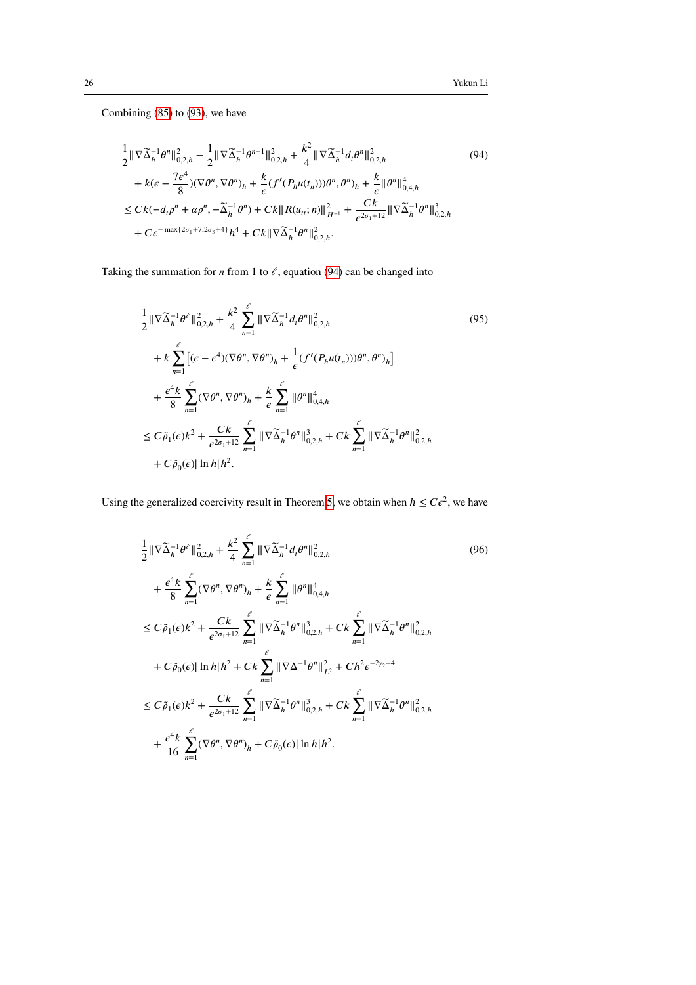Combining [\(85\)](#page-22-1) to [\(93\)](#page-24-0), we have

<span id="page-25-0"></span>
$$
\frac{1}{2} \|\nabla \widetilde{\Delta}_{h}^{-1} \theta^{n} \|_{0,2,h}^{2} - \frac{1}{2} \|\nabla \widetilde{\Delta}_{h}^{-1} \theta^{n-1} \|_{0,2,h}^{2} + \frac{k^{2}}{4} \|\nabla \widetilde{\Delta}_{h}^{-1} d_{t} \theta^{n} \|_{0,2,h}^{2}
$$
\n
$$
+ k(\epsilon - \frac{7\epsilon^{4}}{8}) (\nabla \theta^{n}, \nabla \theta^{n})_{h} + \frac{k}{\epsilon} (f'(P_{h} u(t_{n}))) \theta^{n}, \theta^{n})_{h} + \frac{k}{\epsilon} \| \theta^{n} \|_{0,4,h}^{4}
$$
\n
$$
\leq C k(-d_{t} \rho^{n} + \alpha \rho^{n}, -\widetilde{\Delta}_{h}^{-1} \theta^{n}) + C k \| R(u_{ti}; n) \|_{H^{-1}}^{2} + \frac{C k}{\epsilon^{2 \sigma_{1} + 12}} \| \nabla \widetilde{\Delta}_{h}^{-1} \theta^{n} \|_{0,2,h}^{3}
$$
\n
$$
+ C \epsilon^{-\max\{2 \sigma_{1} + 7, 2 \sigma_{3} + 4\}} h^{4} + C k \| \nabla \widetilde{\Delta}_{h}^{-1} \theta^{n} \|_{0,2,h}^{2}.
$$
\n(94)

Taking the summation for  $n$  from 1 to  $\ell$ , equation [\(94\)](#page-25-0) can be changed into

$$
\frac{1}{2} \|\nabla \widetilde{\Delta}_{h}^{-1} \theta^{\ell}\|_{0,2,h}^{2} + \frac{k^{2}}{4} \sum_{n=1}^{\ell} \|\nabla \widetilde{\Delta}_{h}^{-1} d_{t} \theta^{n}\|_{0,2,h}^{2}
$$
\n
$$
+ k \sum_{n=1}^{\ell} \left[ (\epsilon - \epsilon^{4}) (\nabla \theta^{n}, \nabla \theta^{n})_{h} + \frac{1}{\epsilon} (f'(P_{h} u(t_{n}))) \theta^{n}, \theta^{n})_{h} \right]
$$
\n
$$
+ \frac{\epsilon^{4} k}{8} \sum_{n=1}^{\ell} (\nabla \theta^{n}, \nabla \theta^{n})_{h} + \frac{k}{\epsilon} \sum_{n=1}^{\ell} \|\theta^{n}\|_{0,4,h}^{4}
$$
\n
$$
\leq C \widetilde{\rho}_{1}(\epsilon) k^{2} + \frac{C k}{\epsilon^{2 \sigma_{1} + 12}} \sum_{n=1}^{\ell} \|\nabla \widetilde{\Delta}_{h}^{-1} \theta^{n}\|_{0,2,h}^{3} + C k \sum_{n=1}^{\ell} \|\nabla \widetilde{\Delta}_{h}^{-1} \theta^{n}\|_{0,2,h}^{2}
$$
\n
$$
+ C \widetilde{\rho}_{0}(\epsilon) |\ln h| h^{2}.
$$
\n(95)

Using the generalized coercivity result in Theorem [5,](#page-19-2) we obtain when  $h \leq C\epsilon^2$ , we have

$$
\frac{1}{2} \|\nabla \widetilde{\Delta}_{h}^{-1} \theta^{\ell}\|_{0,2,h}^{2} + \frac{k^{2}}{4} \sum_{n=1}^{\ell} \|\nabla \widetilde{\Delta}_{h}^{-1} d_{t} \theta^{n}\|_{0,2,h}^{2}
$$
\n
$$
+ \frac{\epsilon^{4} k}{8} \sum_{n=1}^{\ell} (\nabla \theta^{n}, \nabla \theta^{n})_{h} + \frac{k}{\epsilon} \sum_{n=1}^{\ell} \|\theta^{n}\|_{0,4,h}^{4}
$$
\n
$$
\leq C \widetilde{\rho}_{1}(\epsilon) k^{2} + \frac{Ck}{\epsilon^{2\sigma_{1}+12}} \sum_{n=1}^{\ell} \|\nabla \widetilde{\Delta}_{h}^{-1} \theta^{n}\|_{0,2,h}^{3} + Ck \sum_{n=1}^{\ell} \|\nabla \widetilde{\Delta}_{h}^{-1} \theta^{n}\|_{0,2,h}^{2}
$$
\n
$$
+ C \widetilde{\rho}_{0}(\epsilon) \|\ln h\| h^{2} + Ck \sum_{n=1}^{\ell} \|\nabla \Delta^{-1} \theta^{n}\|_{L^{2}}^{2} + C h^{2} \epsilon^{-2\gamma_{2}-4}
$$
\n
$$
\leq C \widetilde{\rho}_{1}(\epsilon) k^{2} + \frac{Ck}{\epsilon^{2\sigma_{1}+12}} \sum_{n=1}^{\ell} \|\nabla \widetilde{\Delta}_{h}^{-1} \theta^{n}\|_{0,2,h}^{3} + Ck \sum_{n=1}^{\ell} \|\nabla \widetilde{\Delta}_{h}^{-1} \theta^{n}\|_{0,2,h}^{2}
$$
\n
$$
+ \frac{\epsilon^{4} k}{16} \sum_{n=1}^{\ell} (\nabla \theta^{n}, \nabla \theta^{n})_{h} + C \widetilde{\rho}_{0}(\epsilon) \|\ln h\| h^{2}.
$$
\n(96)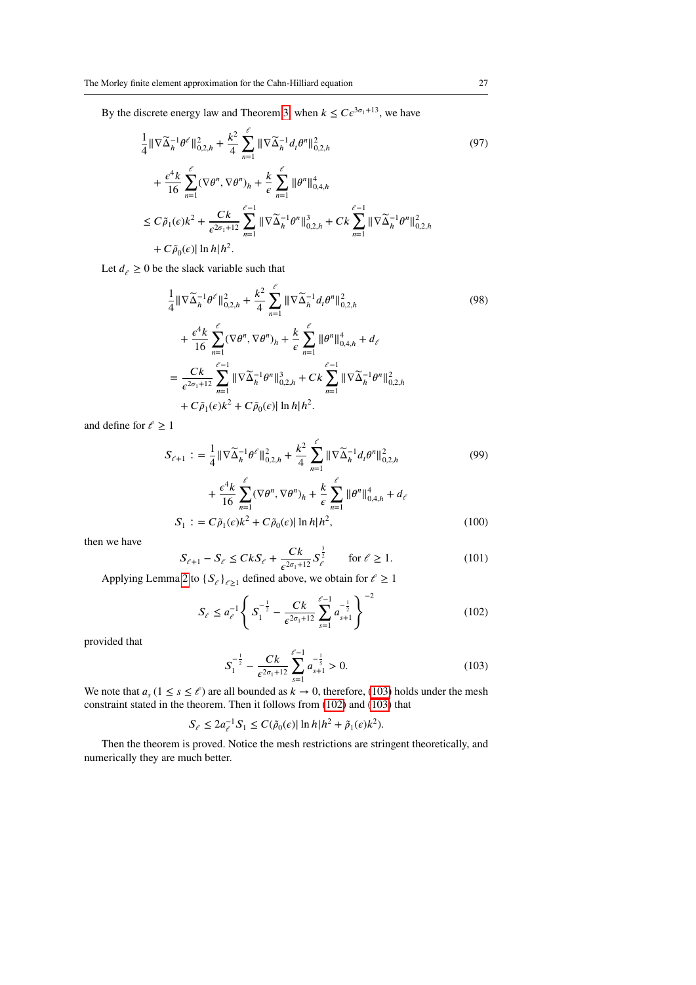By the discrete energy law and Theorem [3,](#page-16-0) when  $k \leq Ce^{3\sigma_1+13}$ , we have

$$
\frac{1}{4} \|\nabla \widetilde{\Delta}_{h}^{-1} \theta^{\ell}\|_{0,2,h}^{2} + \frac{k^{2}}{4} \sum_{n=1}^{\ell} \|\nabla \widetilde{\Delta}_{h}^{-1} d_{t} \theta^{n}\|_{0,2,h}^{2} + \frac{\epsilon^{4} k}{16} \sum_{n=1}^{\ell} (\nabla \theta^{n}, \nabla \theta^{n})_{h} + \frac{k}{\epsilon} \sum_{n=1}^{\ell} \|\theta^{n}\|_{0,4,h}^{4}
$$
\n
$$
\leq C \widetilde{\rho}_{1}(\epsilon) k^{2} + \frac{C k}{\epsilon^{2 \sigma_{1}+12}} \sum_{n=1}^{\ell-1} \|\nabla \widetilde{\Delta}_{h}^{-1} \theta^{n}\|_{0,2,h}^{3} + C k \sum_{n=1}^{\ell-1} \|\nabla \widetilde{\Delta}_{h}^{-1} \theta^{n}\|_{0,2,h}^{2}
$$
\n
$$
+ C \widetilde{\rho}_{0}(\epsilon) \|\ln h\| h^{2}.
$$
\n(97)

Let  $d_{\ell} \geq 0$  be the slack variable such that

$$
\frac{1}{4} \|\nabla \widetilde{\Delta}_{h}^{-1} \theta^{\ell}\|_{0,2,h}^{2} + \frac{k^{2}}{4} \sum_{n=1}^{\ell} \|\nabla \widetilde{\Delta}_{h}^{-1} d_{t} \theta^{n}\|_{0,2,h}^{2}
$$
\n
$$
+ \frac{\epsilon^{4} k}{16} \sum_{n=1}^{\ell} (\nabla \theta^{n}, \nabla \theta^{n})_{h} + \frac{k}{\epsilon} \sum_{n=1}^{\ell} \|\theta^{n}\|_{0,4,h}^{4} + d_{\ell}
$$
\n
$$
= \frac{Ck}{\epsilon^{2 \sigma_{1}+12}} \sum_{n=1}^{\ell-1} \|\nabla \widetilde{\Delta}_{h}^{-1} \theta^{n}\|_{0,2,h}^{3} + Ck \sum_{n=1}^{\ell-1} \|\nabla \widetilde{\Delta}_{h}^{-1} \theta^{n}\|_{0,2,h}^{2}
$$
\n
$$
+ C\widetilde{\rho}_{1}(\epsilon)k^{2} + C\widetilde{\rho}_{0}(\epsilon) \|\ln h\| h^{2}.
$$
\n(98)

and define for  $\ell \geq 1$ 

$$
S_{\ell+1} := \frac{1}{4} \|\nabla \widetilde{\Delta}_h^{-1} \theta^{\ell}\|_{0,2,h}^2 + \frac{k^2}{4} \sum_{n=1}^{\ell} \|\nabla \widetilde{\Delta}_h^{-1} d_t \theta^n\|_{0,2,h}^2
$$
  
+ 
$$
\frac{\epsilon^4 k}{16} \sum_{n=1}^{\ell} (\nabla \theta^n, \nabla \theta^n)_h + \frac{k}{6} \sum_{n=1}^{\ell} \|\theta^n\|_{0,4,h}^4 + d_{\ell}
$$
 (99)

16 *𝑛*=1 *𝜖 𝑛*=1 *𝑆*<sup>1</sup> ∶ = *𝐶 ̃𝜌*<sup>1</sup> (*𝜖*)*𝑘* <sup>2</sup> + *𝐶 ̃𝜌*<sup>0</sup> (*𝜖*)| ln *ℎ*|*ℎ* 2 *,* (100)

then we have

$$
S_{\ell+1} - S_{\ell} \le CkS_{\ell} + \frac{Ck}{\epsilon^{2\sigma_1 + 12}} S_{\ell}^{\frac{3}{2}} \quad \text{for } \ell \ge 1.
$$
 (101)

Applying Lemma [2](#page-5-1) to  ${S_\ell}_{\ell \geq 1}$  defined above, we obtain for  $\ell \geq 1$ 

<span id="page-26-1"></span>
$$
S_{\ell} \le a_{\ell}^{-1} \left\{ S_1^{-\frac{1}{2}} - \frac{Ck}{\epsilon^{2\sigma_1 + 12}} \sum_{s=1}^{\ell - 1} a_{s+1}^{-\frac{1}{2}} \right\}^{-2}
$$
(102)

provided that

<span id="page-26-0"></span>
$$
S_1^{-\frac{1}{2}} - \frac{Ck}{\epsilon^{2\sigma_1 + 12}} \sum_{s=1}^{\ell - 1} a_{s+1}^{-\frac{1}{5}} > 0.
$$
 (103)

We note that  $a_s$  ( $1 \le s \le \ell$ ) are all bounded as  $k \to 0$ , therefore, [\(103\)](#page-26-0) holds under the mesh constraint stated in the theorem. Then it follows from [\(102\)](#page-26-1) and [\(103\)](#page-26-0) that

$$
S_{\ell} \le 2a_{\ell}^{-1} S_1 \le C(\tilde{\rho}_0(\epsilon) |\ln h| h^2 + \tilde{\rho}_1(\epsilon) k^2).
$$

Then the theorem is proved. Notice the mesh restrictions are stringent theoretically, and numerically they are much better.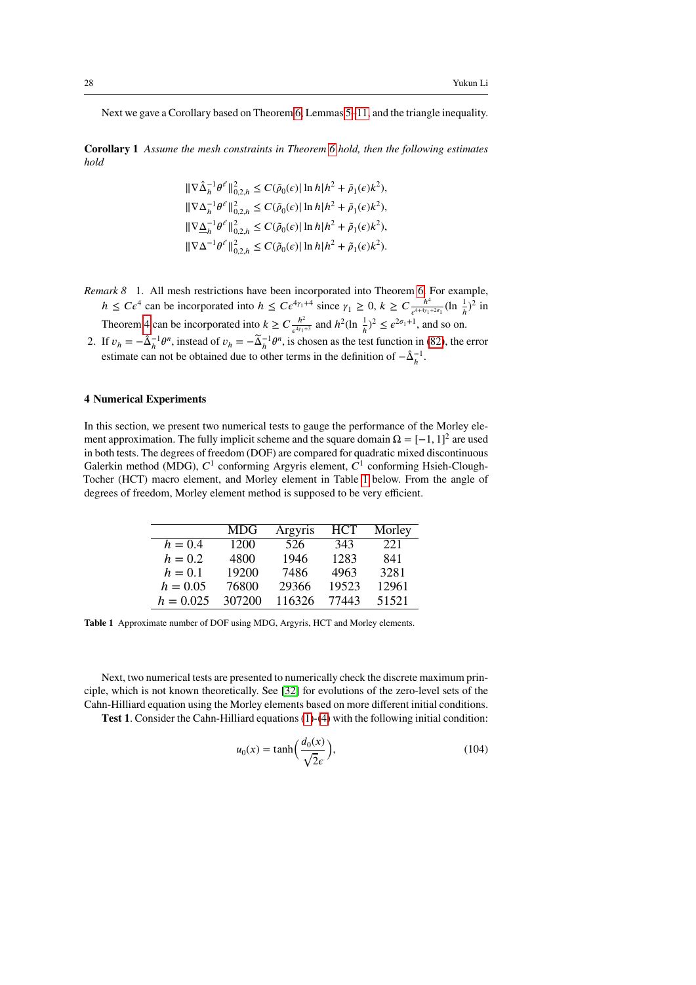Next we gave a Corollary based on Theorem [6,](#page-21-2) Lemmas [5](#page-10-4)[–11,](#page-12-2) and the triangle inequality.

**Corollary 1** *Assume the mesh constraints in Theorem [6](#page-21-2) hold, then the following estimates hold*

$$
\begin{split} &\|\nabla\hat{\Delta}_{h}^{-1}\theta^{\ell}\|^{2}_{0,2,h}\leq C(\tilde{\rho}_{0}(\epsilon)|\ln h|h^{2}+\tilde{\rho}_{1}(\epsilon)k^{2}),\\ &\|\nabla\Delta_{h}^{-1}\theta^{\ell}\|^{2}_{0,2,h}\leq C(\tilde{\rho}_{0}(\epsilon)|\ln h|h^{2}+\tilde{\rho}_{1}(\epsilon)k^{2}),\\ &\|\nabla\underline{\Delta}_{h}^{-1}\theta^{\ell}\|^{2}_{0,2,h}\leq C(\tilde{\rho}_{0}(\epsilon)|\ln h|h^{2}+\tilde{\rho}_{1}(\epsilon)k^{2}),\\ &\|\nabla\Delta^{-1}\theta^{\ell}\|^{2}_{0,2,h}\leq C(\tilde{\rho}_{0}(\epsilon)|\ln h|h^{2}+\tilde{\rho}_{1}(\epsilon)k^{2}). \end{split}
$$

- *Remark 8* 1. All mesh restrictions have been incorporated into Theorem [6.](#page-21-2) For example,  $h \leq C \epsilon^4$  can be incorporated into  $h \leq C \epsilon^{4\gamma_1+4}$  since  $\gamma_1 \geq 0, k \geq C \frac{h^4}{\epsilon^{4+4\gamma_1}}$  $\frac{h^4}{e^{4+4\gamma_1+2\sigma_1}}$  (ln  $\frac{1}{h}$ )<sup>2</sup> in Theorem [4](#page-16-1) can be incorporated into  $k \geq C \frac{h^2}{a^{4\gamma}}$
- $\frac{h^2}{\epsilon^{4\gamma_1+3}}$  and  $h^2(\ln \frac{1}{h})^2 \leq \epsilon^{2\sigma_1+1}$ , and so on. 2. If  $v_h = -\hat{\Delta}_h^{-1} \theta^n$ , instead of  $v_h = -\tilde{\Delta}_h^{-1} \theta^n$ , is chosen as the test function in [\(82\)](#page-21-1), the error estimate can not be obtained due to other terms in the definition of  $-\hat{\Delta}_h^{-1}$ .

#### <span id="page-27-0"></span>**4 Numerical Experiments**

In this section, we present two numerical tests to gauge the performance of the Morley element approximation. The fully implicit scheme and the square domain  $\Omega = [-1, 1]^2$  are used in both tests. The degrees of freedom (DOF) are compared for quadratic mixed discontinuous Galerkin method (MDG),  $C^1$  conforming Argyris element,  $C^1$  conforming Hsieh-Clough-Tocher (HCT) macro element, and Morley element in Table [1](#page-27-1) below. From the angle of degrees of freedom, Morley element method is supposed to be very efficient.

|             | MDG    | Argyris | <b>HCT</b> | Morley |
|-------------|--------|---------|------------|--------|
| $h = 0.4$   | 1200   | 526     | 343        | 221    |
| $h = 0.2$   | 4800   | 1946    | 1283       | 841    |
| $h = 0.1$   | 19200  | 7486    | 4963       | 3281   |
| $h = 0.05$  | 76800  | 29366   | 19523      | 12961  |
| $h = 0.025$ | 307200 | 116326  | 77443      | 51521  |

<span id="page-27-1"></span>**Table 1** Approximate number of DOF using MDG, Argyris, HCT and Morley elements.

Next, two numerical tests are presented to numerically check the discrete maximum principle, which is not known theoretically. See [\[32\]](#page-30-9) for evolutions of the zero-level sets of the Cahn-Hilliard equation using the Morley elements based on more different initial conditions.

**Test 1.** Consider the Cahn-Hilliard equations [\(1\)](#page-1-0)-[\(4\)](#page-1-1) with the following initial condition:

<span id="page-27-2"></span>
$$
u_0(x) = \tanh\left(\frac{d_0(x)}{\sqrt{2\epsilon}}\right),\tag{104}
$$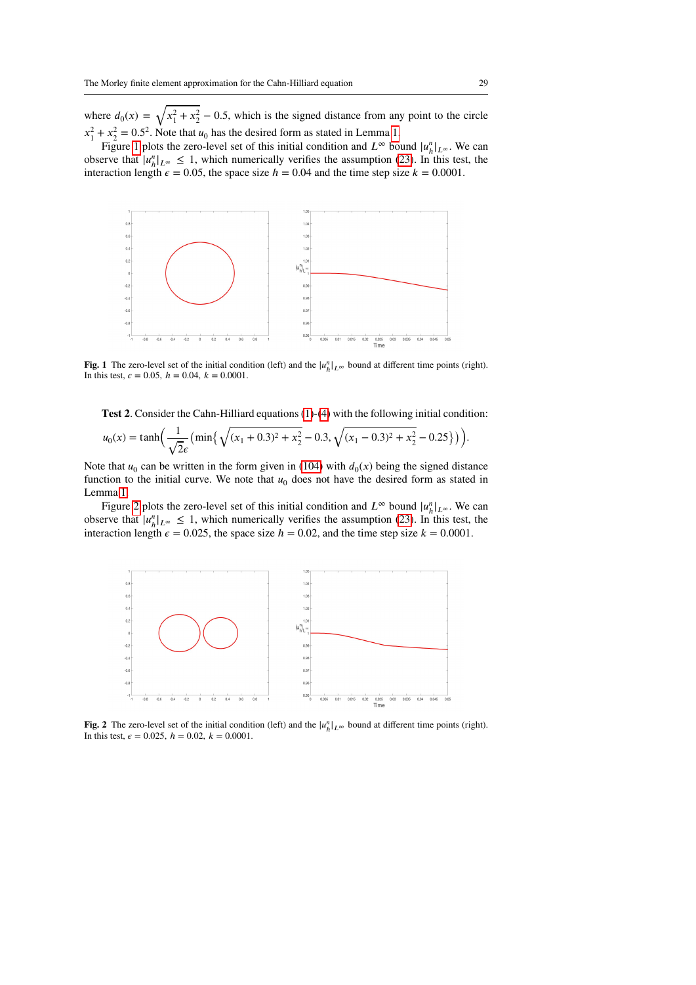where  $d_0(x) = \sqrt{x_1^2 + x_2^2} - 0.5$ , which is the signed distance from any point to the circle  $x_1^2 + x_2^2 = 0.5^2$ . Note that  $u_0$  has the desired form as stated in Lemma [1.](#page-4-2)

Figure [1](#page-28-0) plots the zero-level set of this initial condition and  $L^{\infty}$  bound  $|u^n_h|_{L^{\infty}}$ . We can observe that  $|u_h^n|_{L^\infty} \leq 1$ , which numerically verifies the assumption [\(23\)](#page-6-0). In this test, the interaction length  $\epsilon = 0.05$ , the space size  $h = 0.04$  and the time step size  $k = 0.0001$ .



<span id="page-28-0"></span>**Fig. 1** The zero-level set of the initial condition (left) and the  $|u_h^n|_{L^\infty}$  bound at different time points (right). In this test,  $\epsilon = 0.05$ ,  $h = 0.04$ ,  $k = 0.0001$ .

**Test 2.** Consider the Cahn-Hilliard equations [\(1\)](#page-1-0)-[\(4\)](#page-1-1) with the following initial condition:

$$
u_0(x) = \tanh\left(\frac{1}{\sqrt{2}\epsilon} \left(\min\left\{\sqrt{(x_1 + 0.3)^2 + x_2^2} - 0.3, \sqrt{(x_1 - 0.3)^2 + x_2^2} - 0.25\right\}\right)\right).
$$

Note that  $u_0$  can be written in the form given in [\(104\)](#page-27-2) with  $d_0(x)$  being the signed distance function to the initial curve. We note that  $u_0$  does not have the desired form as stated in Lemma [1.](#page-4-2)

Figure [2](#page-28-1) plots the zero-level set of this initial condition and  $L^{\infty}$  bound  $|u^n_h|_{L^{\infty}}$ . We can observe that  $|u_h^n|_{L^\infty} \leq 1$ , which numerically verifies the assumption [\(23\)](#page-6-0). In this test, the interaction length  $\epsilon = 0.025$ , the space size  $h = 0.02$ , and the time step size  $k = 0.0001$ .



<span id="page-28-1"></span>**Fig. 2** The zero-level set of the initial condition (left) and the  $|u_h^n|_{L^\infty}$  bound at different time points (right). In this test,  $\epsilon = 0.025$ ,  $h = 0.02$ ,  $k = 0.0001$ .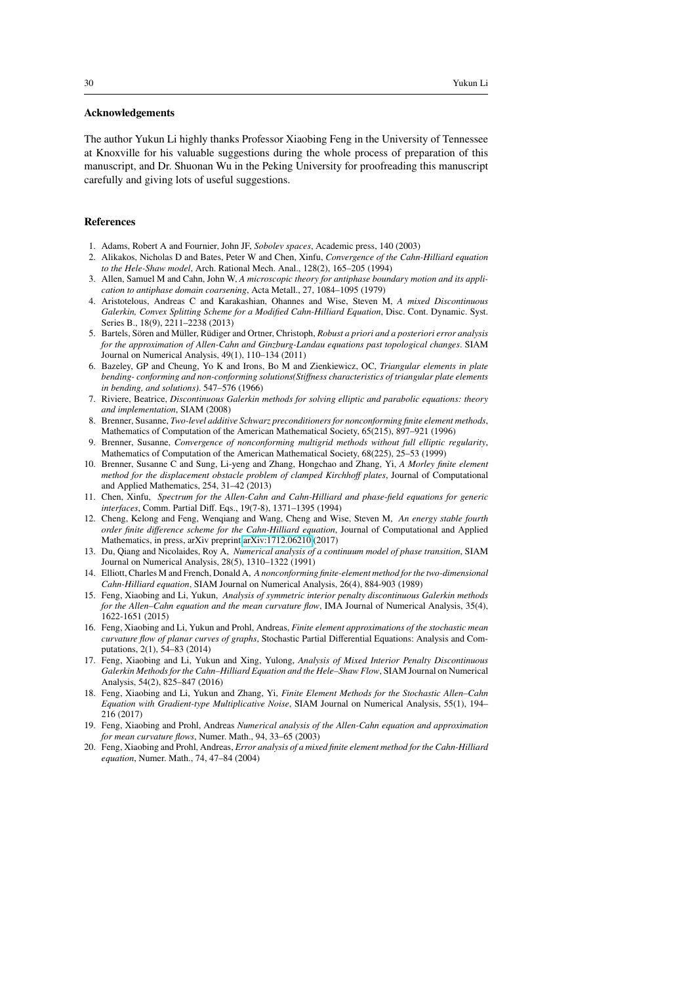#### **Acknowledgements**

The author Yukun Li highly thanks Professor Xiaobing Feng in the University of Tennessee at Knoxville for his valuable suggestions during the whole process of preparation of this manuscript, and Dr. Shuonan Wu in the Peking University for proofreading this manuscript carefully and giving lots of useful suggestions.

## **References**

- <span id="page-29-17"></span>1. Adams, Robert A and Fournier, John JF, *Sobolev spaces*, Academic press, 140 (2003)
- <span id="page-29-7"></span>2. Alikakos, Nicholas D and Bates, Peter W and Chen, Xinfu, *Convergence of the Cahn-Hilliard equation to the Hele-Shaw model*, Arch. Rational Mech. Anal., 128(2), 165–205 (1994)
- <span id="page-29-1"></span>3. Allen, Samuel M and Cahn, John W, *A microscopic theory for antiphase boundary motion and its application to antiphase domain coarsening*, Acta Metall., 27, 1084–1095 (1979)
- <span id="page-29-8"></span>4. Aristotelous, Andreas C and Karakashian, Ohannes and Wise, Steven M, *A mixed Discontinuous Galerkin, Convex Splitting Scheme for a Modified Cahn-Hilliard Equation*, Disc. Cont. Dynamic. Syst. Series B., 18(9), 2211–2238 (2013)
- <span id="page-29-2"></span>5. Bartels, Sören and Müller, Rüdiger and Ortner, Christoph, *Robust a priori and a posteriori error analysis for the approximation of Allen-Cahn and Ginzburg-Landau equations past topological changes*. SIAM Journal on Numerical Analysis, 49(1), 110–134 (2011)
- 6. Bazeley, GP and Cheung, Yo K and Irons, Bo M and Zienkiewicz, OC, *Triangular elements in plate bending- conforming and non-conforming solutions(Stiffness characteristics of triangular plate elements in bending, and solutions)*. 547–576 (1966)
- 7. Riviere, Beatrice, *Discontinuous Galerkin methods for solving elliptic and parabolic equations: theory and implementation*, SIAM (2008)
- <span id="page-29-15"></span>8. Brenner, Susanne, *Two-level additive Schwarz preconditioners for nonconforming finite element methods*, Mathematics of Computation of the American Mathematical Society, 65(215), 897–921 (1996)
- <span id="page-29-13"></span>9. Brenner, Susanne, *Convergence of nonconforming multigrid methods without full elliptic regularity*, Mathematics of Computation of the American Mathematical Society, 68(225), 25–53 (1999)
- <span id="page-29-14"></span>10. Brenner, Susanne C and Sung, Li-yeng and Zhang, Hongchao and Zhang, Yi, *A Morley finite element method for the displacement obstacle problem of clamped Kirchhoff plates*, Journal of Computational and Applied Mathematics, 254, 31–42 (2013)
- <span id="page-29-3"></span>11. Chen, Xinfu, *Spectrum for the Allen-Cahn and Cahn-Hilliard and phase-field equations for generic interfaces*, Comm. Partial Diff. Eqs., 19(7-8), 1371–1395 (1994)
- <span id="page-29-10"></span>12. Cheng, Kelong and Feng, Wenqiang and Wang, Cheng and Wise, Steven M, *An energy stable fourth order finite difference scheme for the Cahn-Hilliard equation*, Journal of Computational and Applied Mathematics, in press, arXiv preprint [arXiv:1712.06210](http://arxiv.org/abs/1712.06210) (2017)
- <span id="page-29-9"></span>13. Du, Qiang and Nicolaides, Roy A, *Numerical analysis of a continuum model of phase transition*, SIAM Journal on Numerical Analysis, 28(5), 1310–1322 (1991)
- <span id="page-29-0"></span>14. Elliott, Charles M and French, Donald A, *A nonconforming finite-element method for the two-dimensional Cahn-Hilliard equation*, SIAM Journal on Numerical Analysis, 26(4), 884-903 (1989)
- <span id="page-29-16"></span>15. Feng, Xiaobing and Li, Yukun, *Analysis of symmetric interior penalty discontinuous Galerkin methods for the Allen–Cahn equation and the mean curvature flow*, IMA Journal of Numerical Analysis, 35(4), 1622-1651 (2015)
- <span id="page-29-5"></span>16. Feng, Xiaobing and Li, Yukun and Prohl, Andreas, *Finite element approximations of the stochastic mean curvature flow of planar curves of graphs*, Stochastic Partial Differential Equations: Analysis and Computations, 2(1), 54–83 (2014)
- <span id="page-29-12"></span>17. Feng, Xiaobing and Li, Yukun and Xing, Yulong, *Analysis of Mixed Interior Penalty Discontinuous Galerkin Methods for the Cahn–Hilliard Equation and the Hele–Shaw Flow*, SIAM Journal on Numerical Analysis, 54(2), 825–847 (2016)
- <span id="page-29-6"></span>18. Feng, Xiaobing and Li, Yukun and Zhang, Yi, *Finite Element Methods for the Stochastic Allen–Cahn Equation with Gradient-type Multiplicative Noise*, SIAM Journal on Numerical Analysis, 55(1), 194– 216 (2017)
- <span id="page-29-4"></span>19. Feng, Xiaobing and Prohl, Andreas *Numerical analysis of the Allen-Cahn equation and approximation for mean curvature flows*, Numer. Math., 94, 33–65 (2003)
- <span id="page-29-11"></span>20. Feng, Xiaobing and Prohl, Andreas, *Error analysis of a mixed finite element method for the Cahn-Hilliard equation*, Numer. Math., 74, 47–84 (2004)